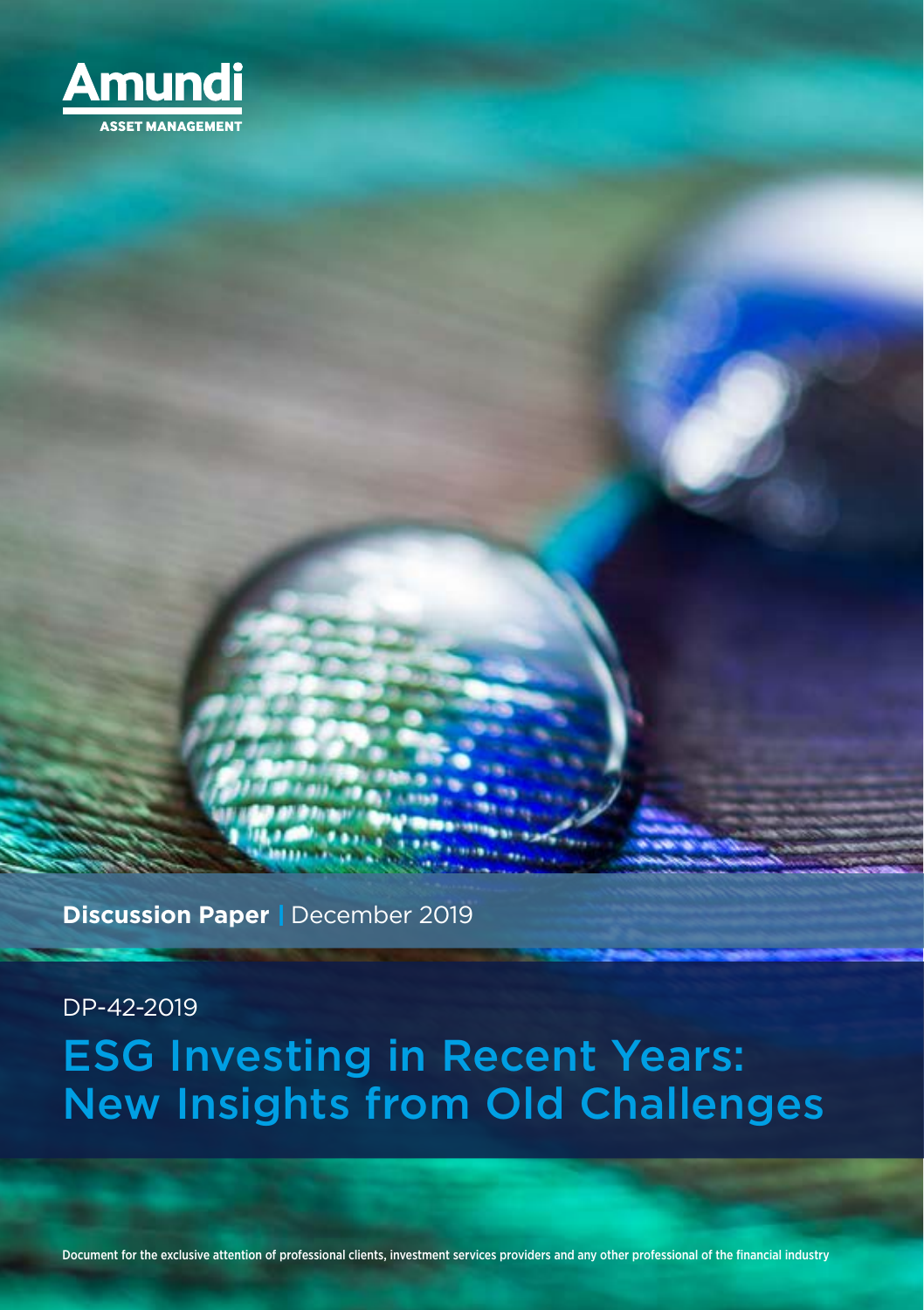

**Discussion Paper** | December 2019

DP-42-2019

# ESG Investing in Recent Years: New Insights from Old Challenges

Document for the exclusive attention of professional clients, investment services providers and any other professional of the financial industry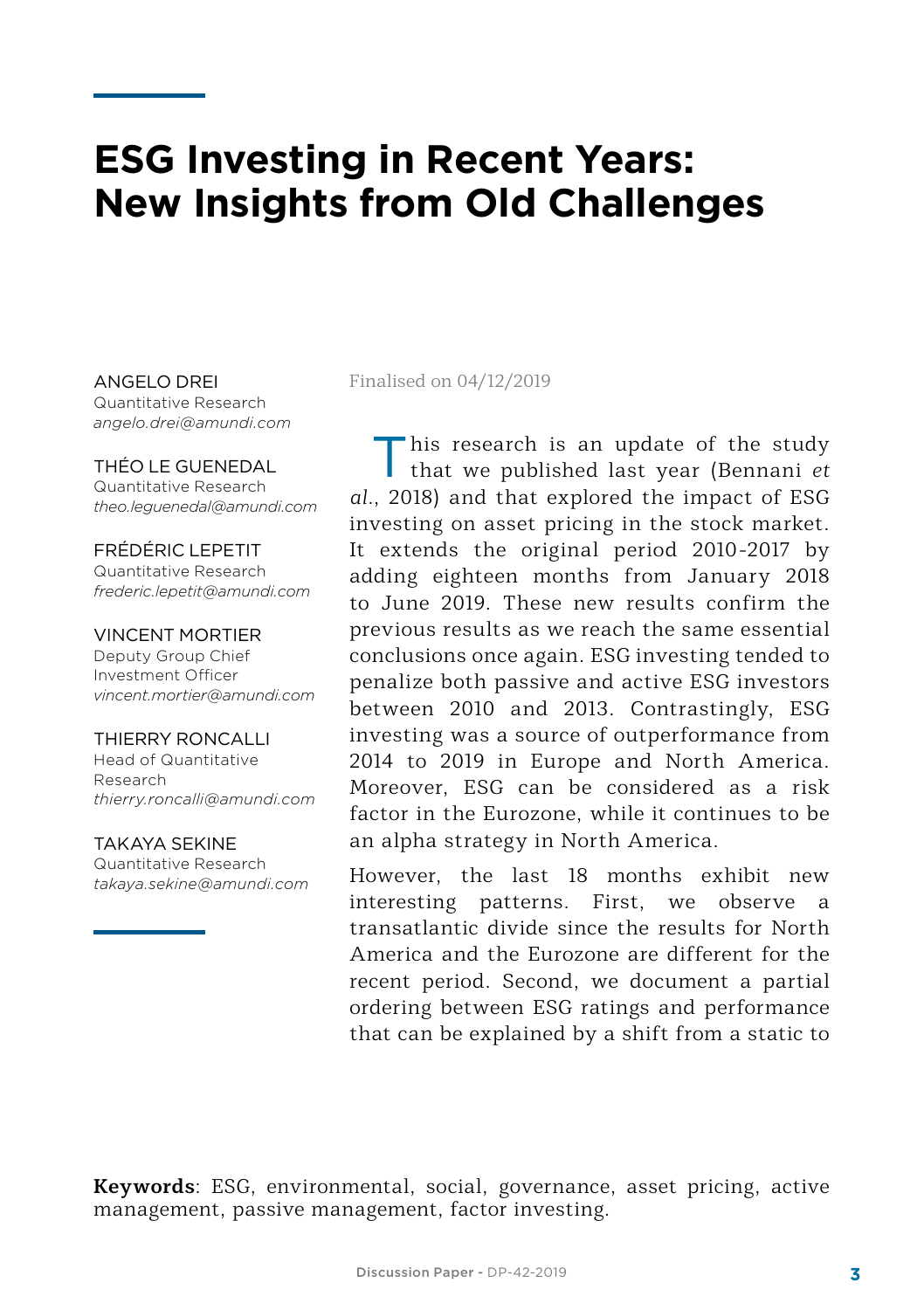## **ESG Investing in Recent Years: New Insights from Old Challenges**

Quantitative Research *angelo.drei@amundi.com*

#### THÉO LE GUENEDAL Quantitative Research *theo.leguenedal@amundi.com*

FRÉDÉRIC LEPETIT Quantitative Research *frederic.lepetit@amundi.com*

#### VINCENT MORTIER

Deputy Group Chief Investment Officer *vincent.mortier@amundi.com*

#### THIERRY RONCALLI

Head of Quantitative Research *thierry.roncalli@amundi.com*

#### TAKAYA SEKINE

Quantitative Research *takaya.sekine@amundi.com*

#### ANGELO DREI Finalised on 04/12/2019

This research is an update of the study that we published last year (Bennani *et al.*, 2018) and that explored the impact of ESG investing on asset pricing in the stock market. It extends the original period 2010-2017 by adding eighteen months from January 2018 to June 2019. These new results confirm the previous results as we reach the same essential conclusions once again. ESG investing tended to penalize both passive and active ESG investors between 2010 and 2013. Contrastingly, ESG investing was a source of outperformance from 2014 to 2019 in Europe and North America. Moreover, ESG can be considered as a risk factor in the Eurozone, while it continues to be an alpha strategy in North America.

However, the last 18 months exhibit new interesting patterns. First, we observe a transatlantic divide since the results for North America and the Eurozone are different for the recent period. Second, we document a partial ordering between ESG ratings and performance that can be explained by a shift from a static to

**Keywords**: ESG, environmental, social, governance, asset pricing, active management, passive management, factor investing.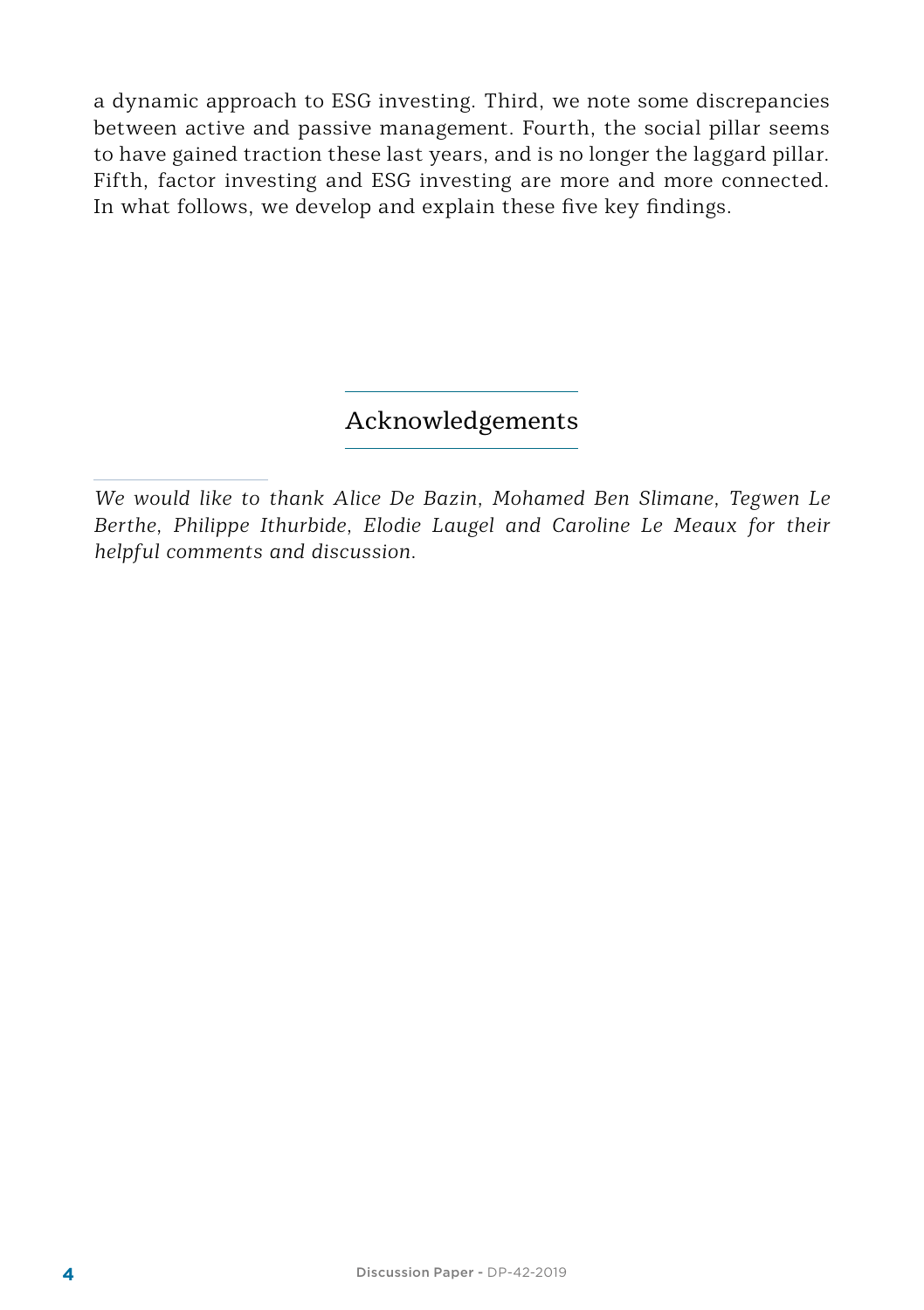a dynamic approach to ESG investing. Third, we note some discrepancies between active and passive management. Fourth, the social pillar seems to have gained traction these last years, and is no longer the laggard pillar. Fifth, factor investing and ESG investing are more and more connected. In what follows, we develop and explain these five key findings.

#### Acknowledgements

*We would like to thank Alice De Bazin, Mohamed Ben Slimane, Tegwen Le Berthe, Philippe Ithurbide, Elodie Laugel and Caroline Le Meaux for their helpful comments and discussion.*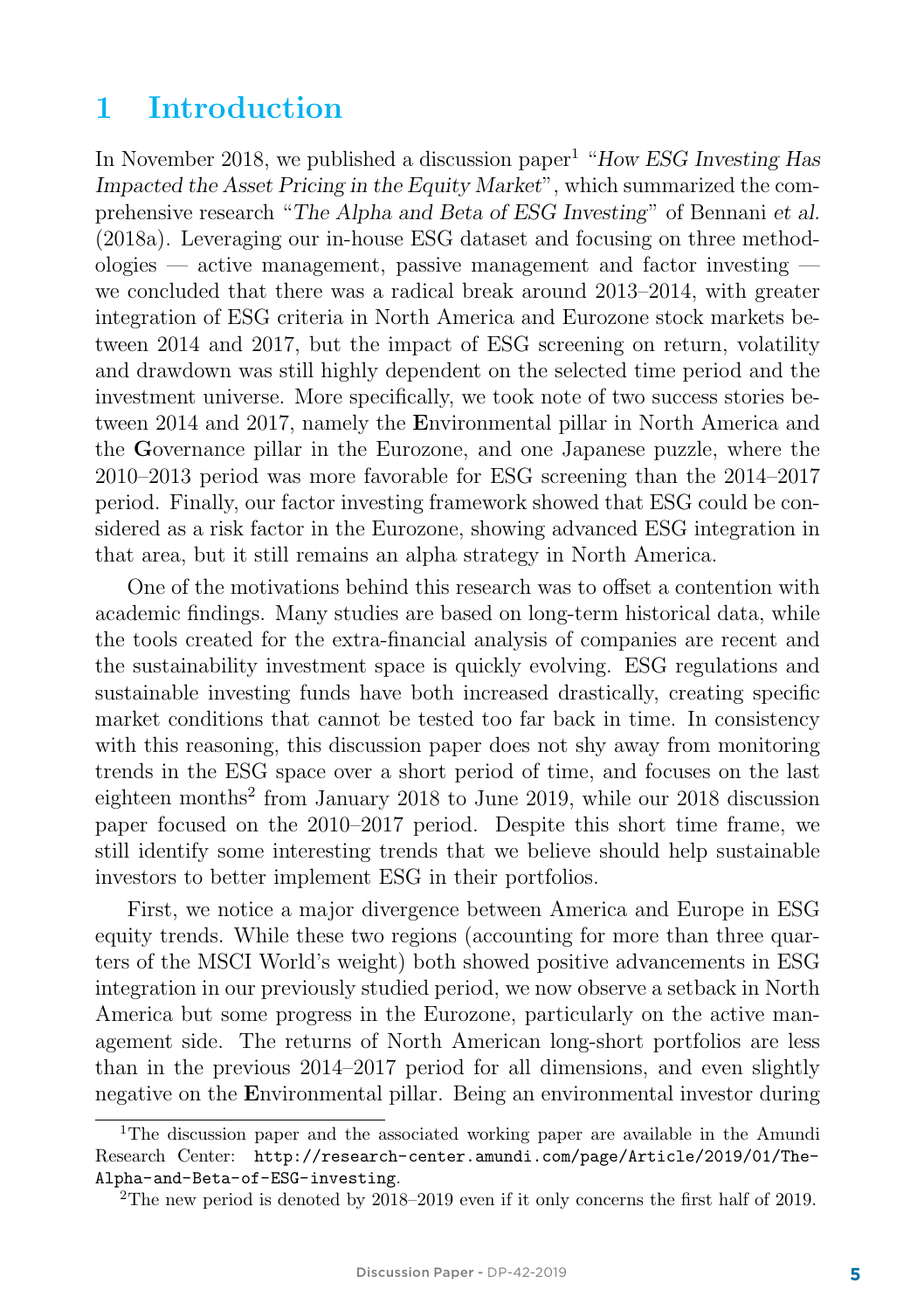### 1 Introduction

In November 2018, we published a discussion paper<sup>1</sup> "How ESG Investing Has Impacted the Asset Pricing in the Equity Market", which summarized the comprehensive research "The Alpha and Beta of ESG Investing" of Bennani et al. (2018a). Leveraging our in-house ESG dataset and focusing on three methodologies — active management, passive management and factor investing we concluded that there was a radical break around 2013–2014, with greater integration of ESG criteria in North America and Eurozone stock markets between 2014 and 2017, but the impact of ESG screening on return, volatility and drawdown was still highly dependent on the selected time period and the investment universe. More specifically, we took note of two success stories between 2014 and 2017, namely the Environmental pillar in North America and the Governance pillar in the Eurozone, and one Japanese puzzle, where the 2010–2013 period was more favorable for ESG screening than the 2014–2017 period. Finally, our factor investing framework showed that ESG could be considered as a risk factor in the Eurozone, showing advanced ESG integration in that area, but it still remains an alpha strategy in North America.

One of the motivations behind this research was to offset a contention with academic findings. Many studies are based on long-term historical data, while the tools created for the extra-financial analysis of companies are recent and the sustainability investment space is quickly evolving. ESG regulations and sustainable investing funds have both increased drastically, creating specific market conditions that cannot be tested too far back in time. In consistency with this reasoning, this discussion paper does not shy away from monitoring trends in the ESG space over a short period of time, and focuses on the last eighteen months<sup>2</sup> from January 2018 to June 2019, while our 2018 discussion paper focused on the 2010–2017 period. Despite this short time frame, we still identify some interesting trends that we believe should help sustainable investors to better implement ESG in their portfolios.

First, we notice a major divergence between America and Europe in ESG equity trends. While these two regions (accounting for more than three quarters of the MSCI World's weight) both showed positive advancements in ESG integration in our previously studied period, we now observe a setback in North America but some progress in the Eurozone, particularly on the active management side. The returns of North American long-short portfolios are less than in the previous 2014–2017 period for all dimensions, and even slightly negative on the Environmental pillar. Being an environmental investor during

<sup>1</sup>The discussion paper and the associated working paper are available in the Amundi Research Center: http://research-center.amundi.com/page/Article/2019/01/The-Alpha-and-Beta-of-ESG-investing.

<sup>&</sup>lt;sup>2</sup>The new period is denoted by  $2018-2019$  even if it only concerns the first half of 2019.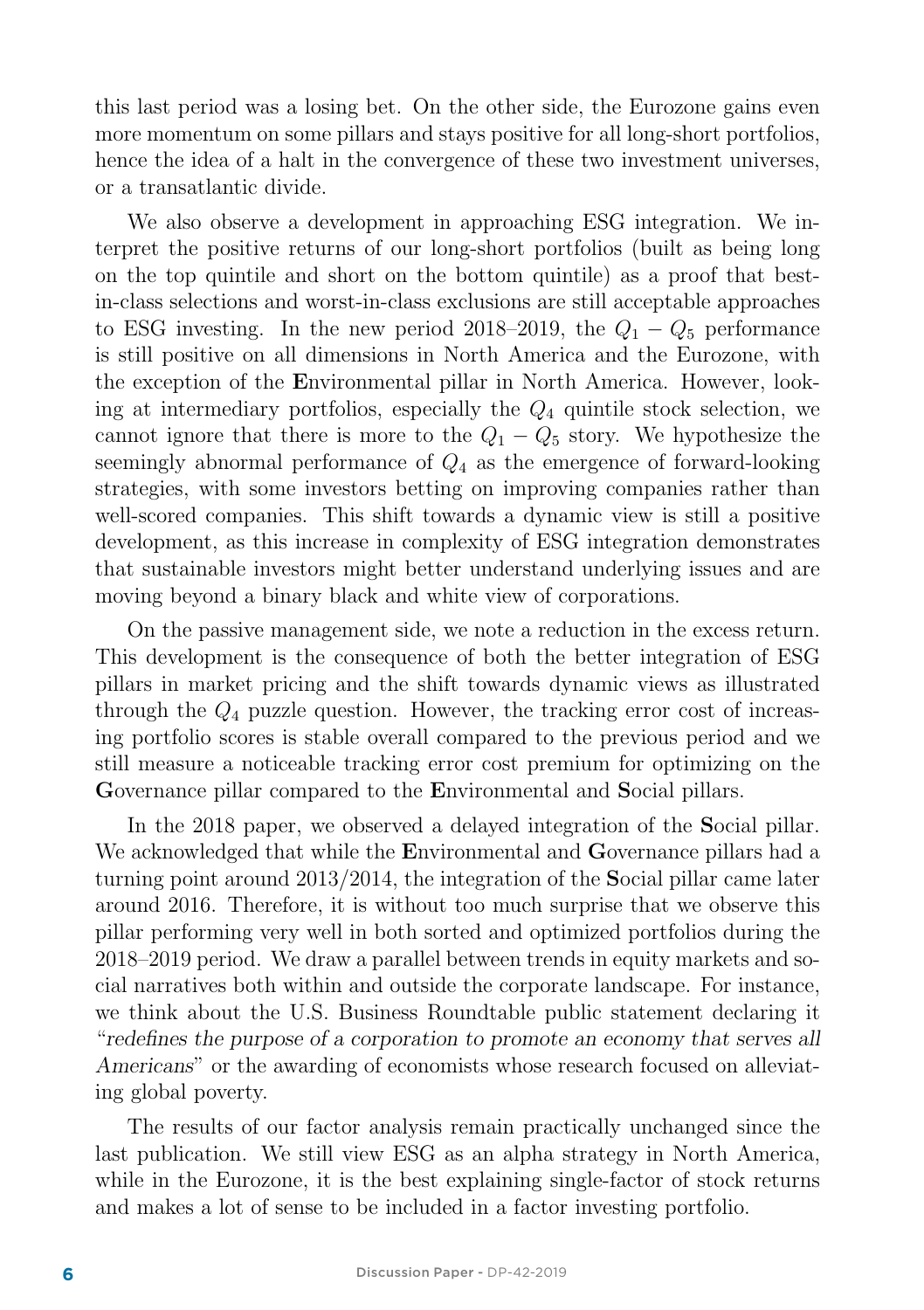this last period was a losing bet. On the other side, the Eurozone gains even more momentum on some pillars and stays positive for all long-short portfolios, hence the idea of a halt in the convergence of these two investment universes, or a transatlantic divide.

We also observe a development in approaching ESG integration. We interpret the positive returns of our long-short portfolios (built as being long on the top quintile and short on the bottom quintile) as a proof that bestin-class selections and worst-in-class exclusions are still acceptable approaches to ESG investing. In the new period 2018–2019, the  $Q_1 - Q_5$  performance is still positive on all dimensions in North America and the Eurozone, with the exception of the Environmental pillar in North America. However, looking at intermediary portfolios, especially the  $Q_4$  quintile stock selection, we cannot ignore that there is more to the  $Q_1 - Q_5$  story. We hypothesize the seemingly abnormal performance of  $Q_4$  as the emergence of forward-looking strategies, with some investors betting on improving companies rather than well-scored companies. This shift towards a dynamic view is still a positive development, as this increase in complexity of ESG integration demonstrates that sustainable investors might better understand underlying issues and are moving beyond a binary black and white view of corporations.

On the passive management side, we note a reduction in the excess return. This development is the consequence of both the better integration of ESG pillars in market pricing and the shift towards dynamic views as illustrated through the  $Q_4$  puzzle question. However, the tracking error cost of increasing portfolio scores is stable overall compared to the previous period and we still measure a noticeable tracking error cost premium for optimizing on the Governance pillar compared to the Environmental and Social pillars.

In the 2018 paper, we observed a delayed integration of the Social pillar. We acknowledged that while the **E**nvironmental and **G**overnance pillars had a turning point around 2013/2014, the integration of the Social pillar came later around 2016. Therefore, it is without too much surprise that we observe this pillar performing very well in both sorted and optimized portfolios during the 2018–2019 period. We draw a parallel between trends in equity markets and social narratives both within and outside the corporate landscape. For instance, we think about the U.S. Business Roundtable public statement declaring it "redefines the purpose of a corporation to promote an economy that serves all Americans" or the awarding of economists whose research focused on alleviating global poverty.

The results of our factor analysis remain practically unchanged since the last publication. We still view ESG as an alpha strategy in North America, while in the Eurozone, it is the best explaining single-factor of stock returns and makes a lot of sense to be included in a factor investing portfolio.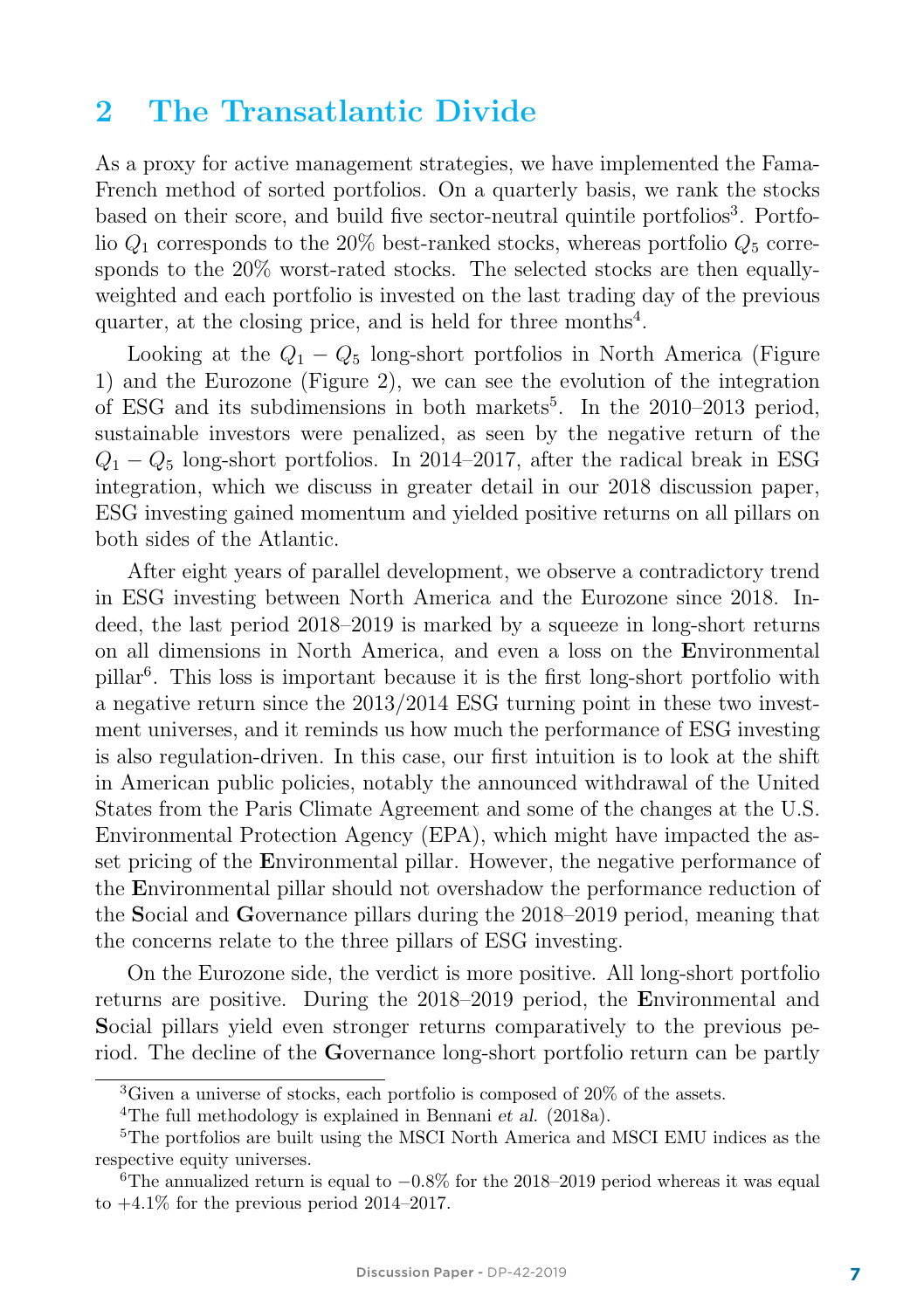### 2 The Transatlantic Divide

As a proxy for active management strategies, we have implemented the Fama-French method of sorted portfolios. On a quarterly basis, we rank the stocks based on their score, and build five sector-neutral quintile portfolios<sup>3</sup>. Portfolio  $Q_1$  corresponds to the 20% best-ranked stocks, whereas portfolio  $Q_5$  corresponds to the 20% worst-rated stocks. The selected stocks are then equallyweighted and each portfolio is invested on the last trading day of the previous quarter, at the closing price, and is held for three months $4$ .

Looking at the  $Q_1 - Q_5$  long-short portfolios in North America (Figure 1) and the Eurozone (Figure 2), we can see the evolution of the integration of ESG and its subdimensions in both markets<sup>5</sup>. In the  $2010-2013$  period, sustainable investors were penalized, as seen by the negative return of the  $Q_1 - Q_5$  long-short portfolios. In 2014–2017, after the radical break in ESG integration, which we discuss in greater detail in our 2018 discussion paper, ESG investing gained momentum and yielded positive returns on all pillars on both sides of the Atlantic.

After eight years of parallel development, we observe a contradictory trend in ESG investing between North America and the Eurozone since 2018. Indeed, the last period 2018–2019 is marked by a squeeze in long-short returns on all dimensions in North America, and even a loss on the Environmental pillar<sup>6</sup>. This loss is important because it is the first long-short portfolio with a negative return since the 2013/2014 ESG turning point in these two investment universes, and it reminds us how much the performance of ESG investing is also regulation-driven. In this case, our first intuition is to look at the shift in American public policies, notably the announced withdrawal of the United States from the Paris Climate Agreement and some of the changes at the U.S. Environmental Protection Agency (EPA), which might have impacted the asset pricing of the Environmental pillar. However, the negative performance of the Environmental pillar should not overshadow the performance reduction of the Social and Governance pillars during the 2018–2019 period, meaning that the concerns relate to the three pillars of ESG investing.

On the Eurozone side, the verdict is more positive. All long-short portfolio returns are positive. During the 2018–2019 period, the Environmental and Social pillars yield even stronger returns comparatively to the previous period. The decline of the Governance long-short portfolio return can be partly

<sup>3</sup>Given a universe of stocks, each portfolio is composed of 20% of the assets.

<sup>4</sup>The full methodology is explained in Bennani et al. (2018a).

<sup>5</sup>The portfolios are built using the MSCI North America and MSCI EMU indices as the respective equity universes.

<sup>&</sup>lt;sup>6</sup>The annualized return is equal to  $-0.8\%$  for the 2018–2019 period whereas it was equal to  $+4.1\%$  for the previous period 2014–2017.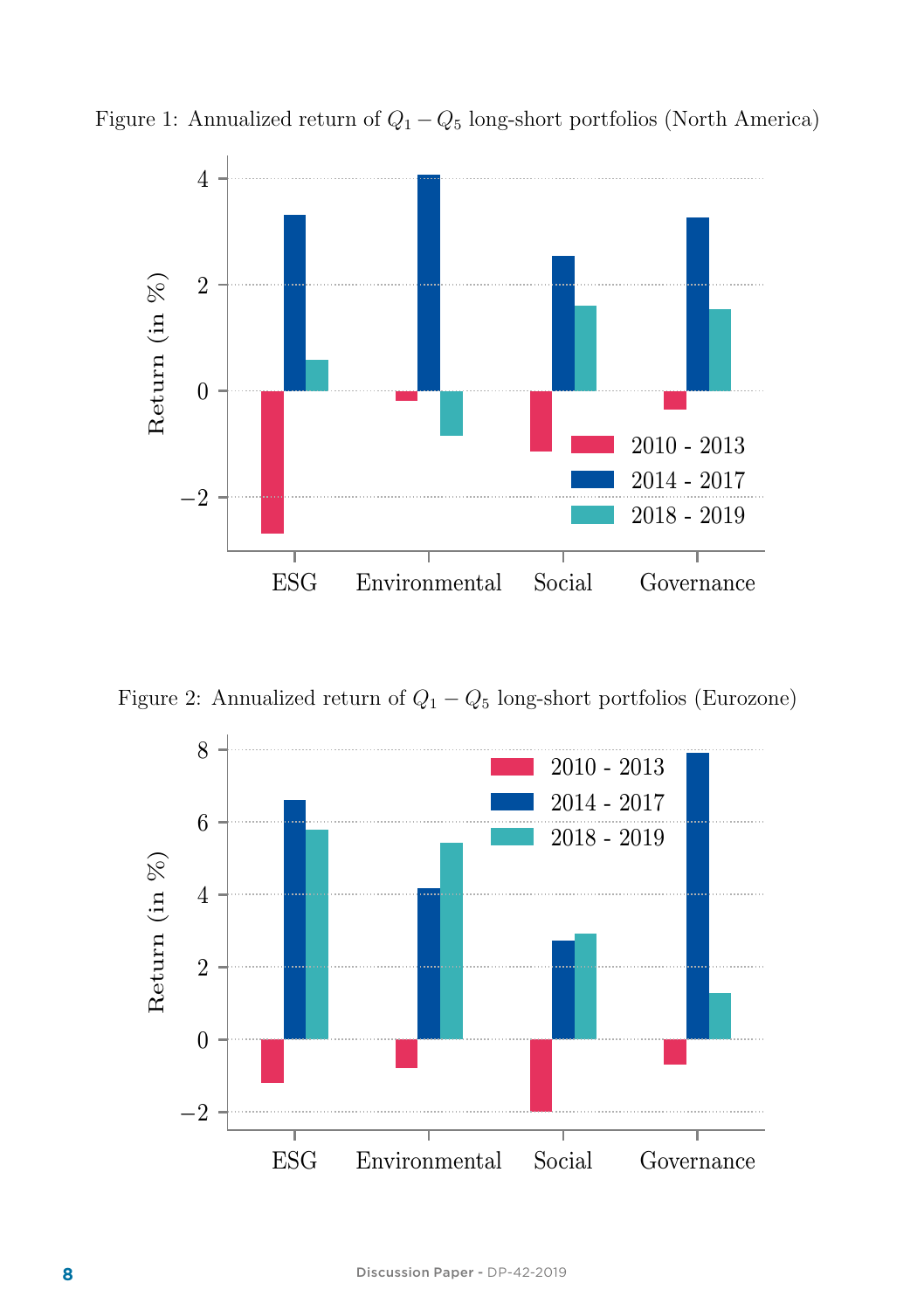

Figure 1: Annualized return of  $Q_1 - Q_5$  long-short portfolios (North America)

Figure 2: Annualized return of  $Q_1 - Q_5$  long-short portfolios (Eurozone)

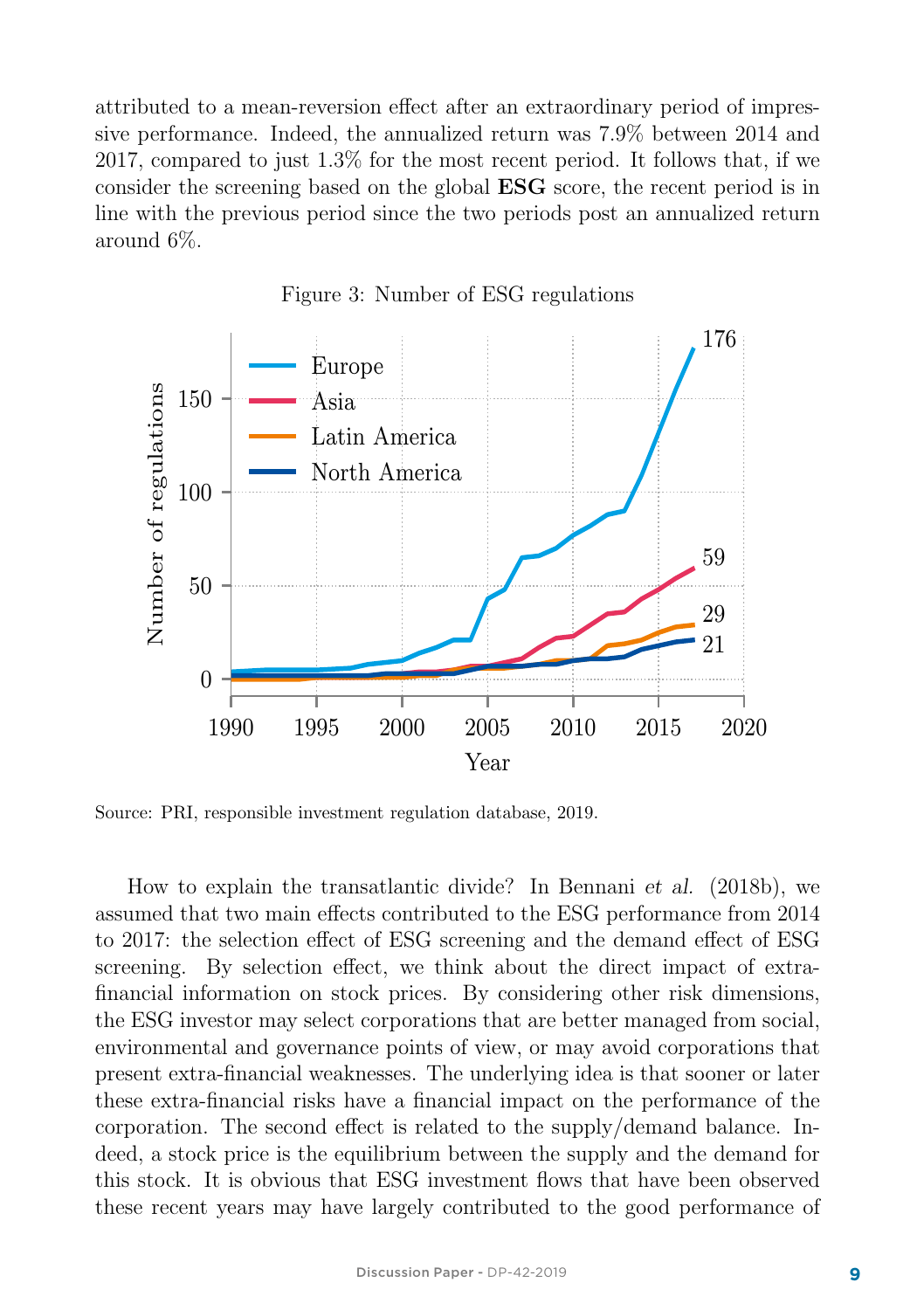attributed to a mean-reversion effect after an extraordinary period of impressive performance. Indeed, the annualized return was 7.9% between 2014 and 2017, compared to just 1.3% for the most recent period. It follows that, if we consider the screening based on the global ESG score, the recent period is in line with the previous period since the two periods post an annualized return around 6%.



Figure 3: Number of ESG regulations

Source: PRI, responsible investment regulation database, 2019.

How to explain the transatlantic divide? In Bennani et al. (2018b), we assumed that two main effects contributed to the ESG performance from 2014 to 2017: the selection effect of ESG screening and the demand effect of ESG screening. By selection effect, we think about the direct impact of extrafinancial information on stock prices. By considering other risk dimensions, the ESG investor may select corporations that are better managed from social, environmental and governance points of view, or may avoid corporations that present extra-financial weaknesses. The underlying idea is that sooner or later these extra-financial risks have a financial impact on the performance of the corporation. The second effect is related to the supply/demand balance. Indeed, a stock price is the equilibrium between the supply and the demand for this stock. It is obvious that ESG investment flows that have been observed these recent years may have largely contributed to the good performance of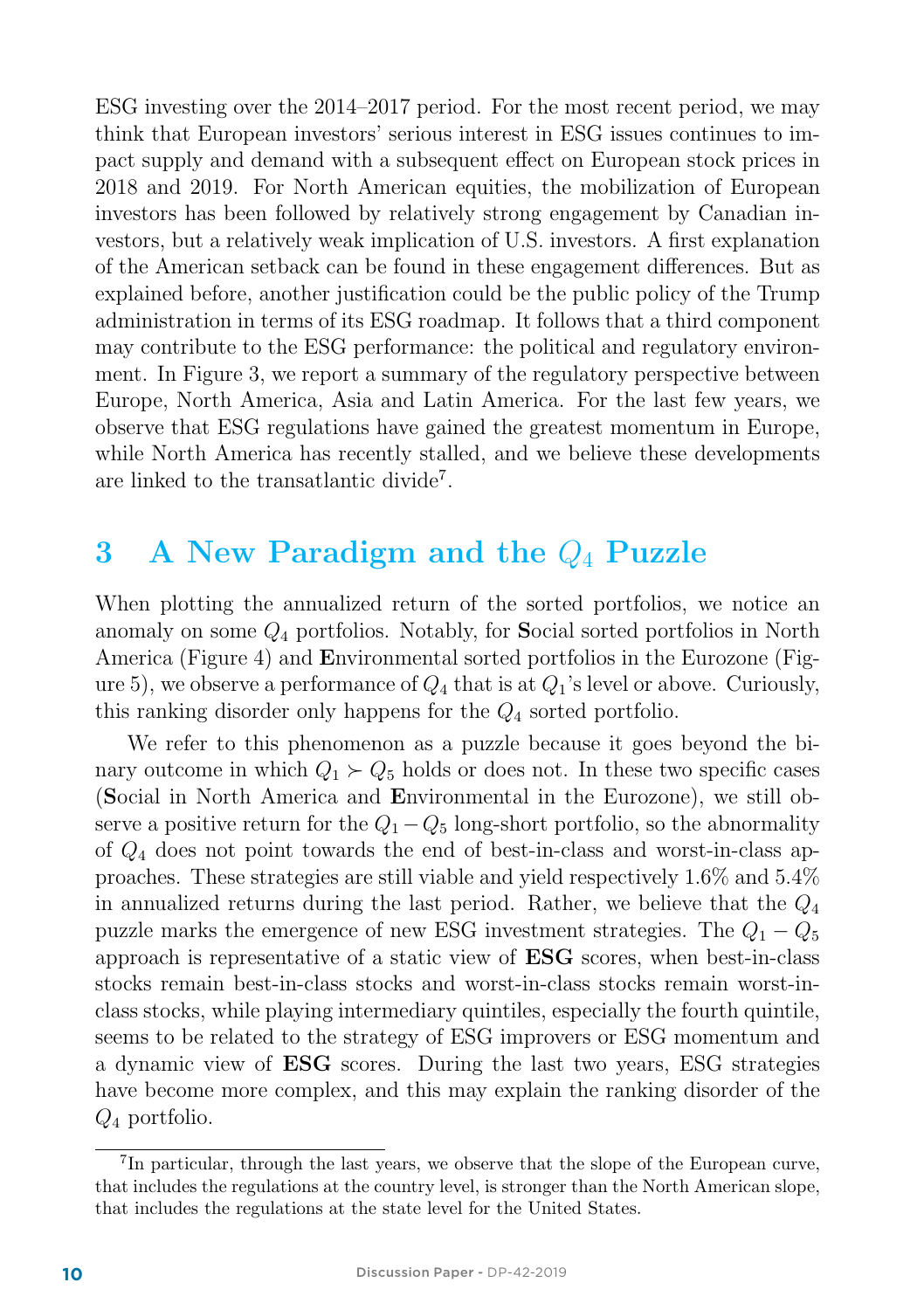ESG investing over the 2014–2017 period. For the most recent period, we may think that European investors' serious interest in ESG issues continues to impact supply and demand with a subsequent effect on European stock prices in 2018 and 2019. For North American equities, the mobilization of European investors has been followed by relatively strong engagement by Canadian investors, but a relatively weak implication of U.S. investors. A first explanation of the American setback can be found in these engagement differences. But as explained before, another justification could be the public policy of the Trump administration in terms of its ESG roadmap. It follows that a third component may contribute to the ESG performance: the political and regulatory environment. In Figure 3, we report a summary of the regulatory perspective between Europe, North America, Asia and Latin America. For the last few years, we observe that ESG regulations have gained the greatest momentum in Europe, while North America has recently stalled, and we believe these developments are linked to the transatlantic divide<sup>7</sup>.

### 3 A New Paradigm and the  $Q_4$  Puzzle

When plotting the annualized return of the sorted portfolios, we notice an anomaly on some Q<sup>4</sup> portfolios. Notably, for Social sorted portfolios in North America (Figure 4) and Environmental sorted portfolios in the Eurozone (Figure 5), we observe a performance of  $Q_4$  that is at  $Q_1$ 's level or above. Curiously, this ranking disorder only happens for the  $Q_4$  sorted portfolio.

We refer to this phenomenon as a puzzle because it goes beyond the binary outcome in which  $Q_1 \succ Q_5$  holds or does not. In these two specific cases (Social in North America and Environmental in the Eurozone), we still observe a positive return for the  $Q_1 - Q_5$  long-short portfolio, so the abnormality of Q<sup>4</sup> does not point towards the end of best-in-class and worst-in-class approaches. These strategies are still viable and yield respectively 1.6% and 5.4% in annualized returns during the last period. Rather, we believe that the  $Q_4$ puzzle marks the emergence of new ESG investment strategies. The  $Q_1 - Q_5$ approach is representative of a static view of ESG scores, when best-in-class stocks remain best-in-class stocks and worst-in-class stocks remain worst-inclass stocks, while playing intermediary quintiles, especially the fourth quintile, seems to be related to the strategy of ESG improvers or ESG momentum and a dynamic view of ESG scores. During the last two years, ESG strategies have become more complex, and this may explain the ranking disorder of the  $Q_4$  portfolio.

<sup>7</sup>In particular, through the last years, we observe that the slope of the European curve, that includes the regulations at the country level, is stronger than the North American slope, that includes the regulations at the state level for the United States.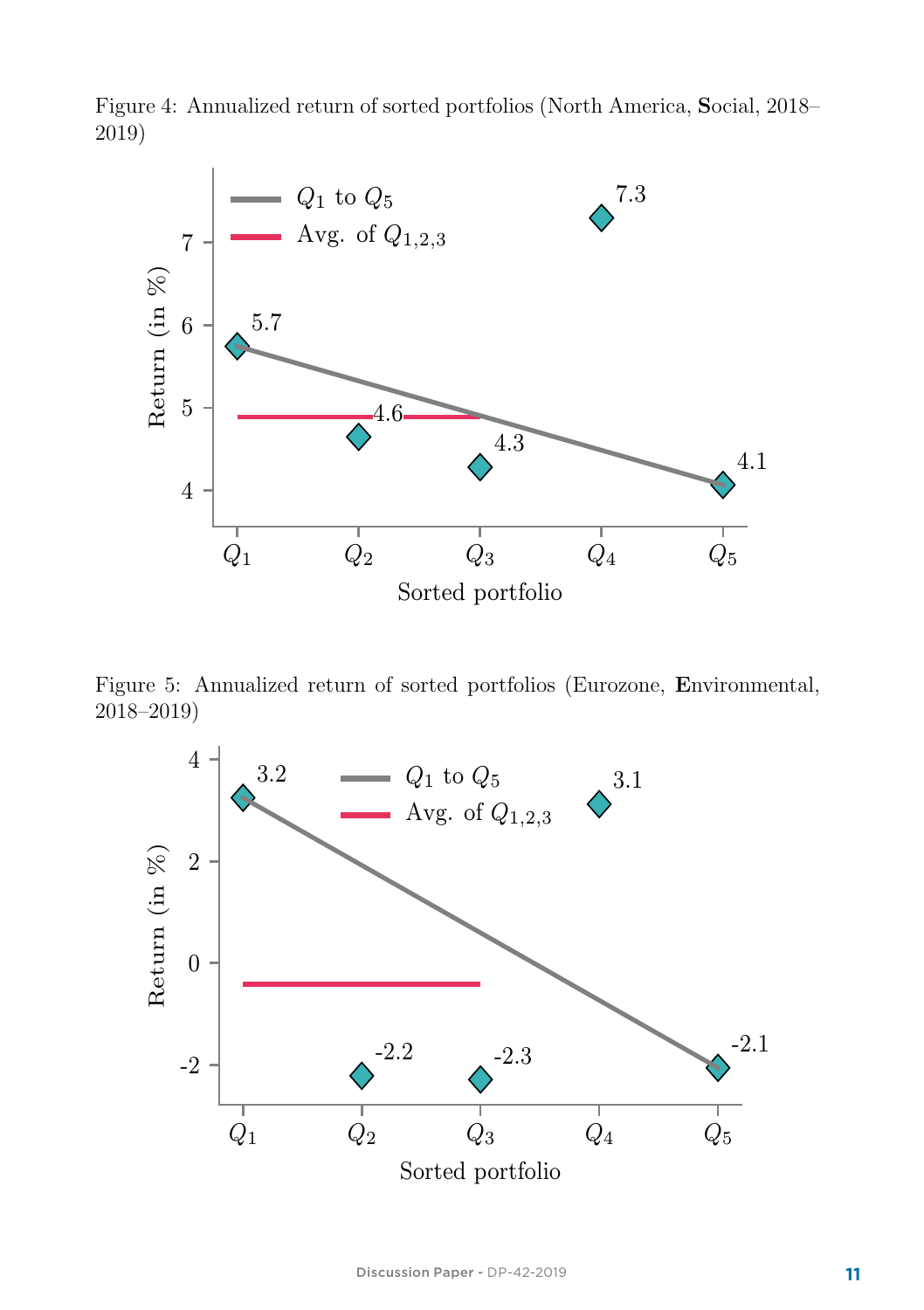

Figure 4: Annualized return of sorted portfolios (North America, Social, 2018– 2019)

Figure 5: Annualized return of sorted portfolios (Eurozone, Environmental, 2018–2019)

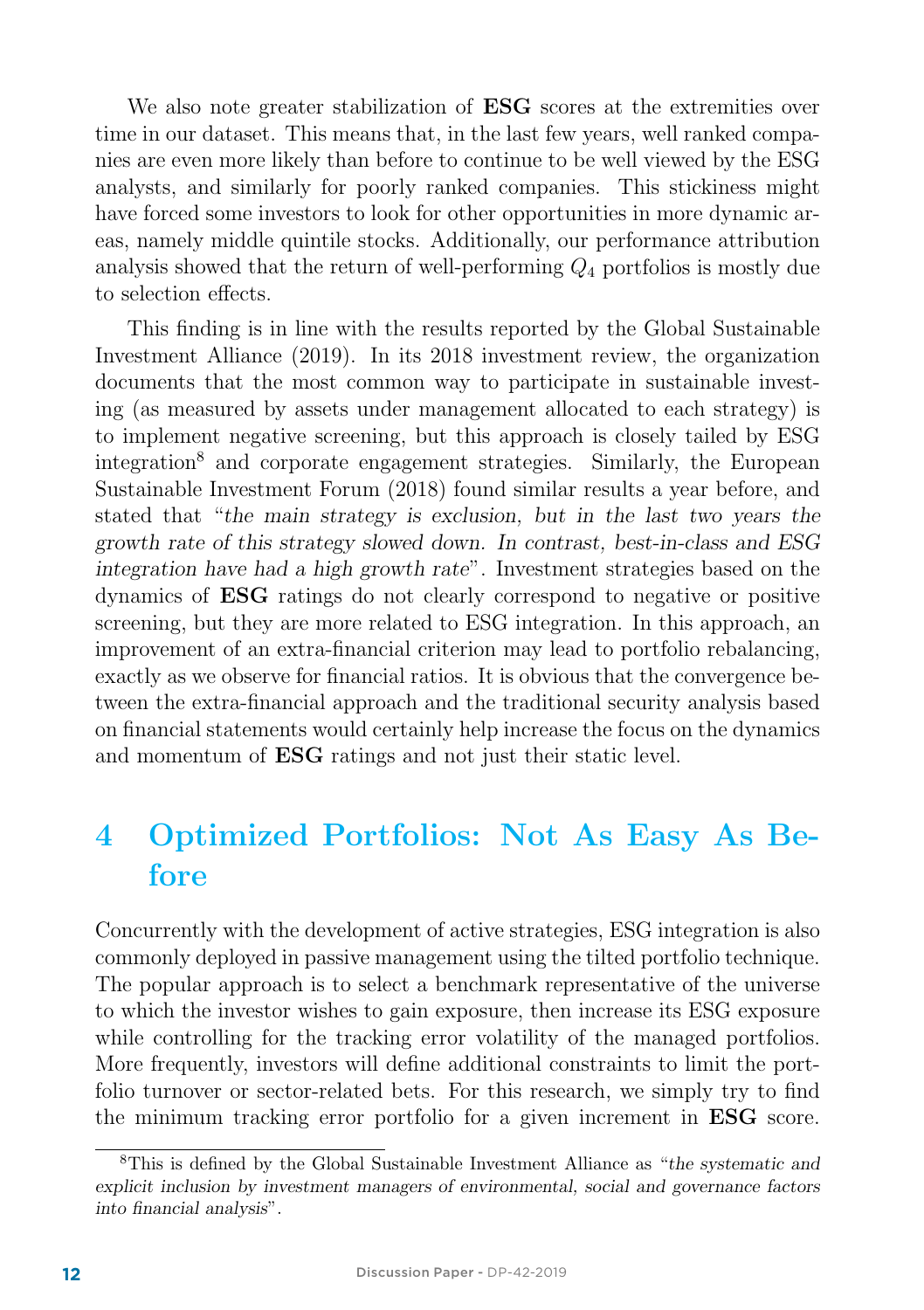We also note greater stabilization of **ESG** scores at the extremities over time in our dataset. This means that, in the last few years, well ranked companies are even more likely than before to continue to be well viewed by the ESG analysts, and similarly for poorly ranked companies. This stickiness might have forced some investors to look for other opportunities in more dynamic areas, namely middle quintile stocks. Additionally, our performance attribution analysis showed that the return of well-performing  $Q_4$  portfolios is mostly due to selection effects.

This finding is in line with the results reported by the Global Sustainable Investment Alliance (2019). In its 2018 investment review, the organization documents that the most common way to participate in sustainable investing (as measured by assets under management allocated to each strategy) is to implement negative screening, but this approach is closely tailed by ESG integration<sup>8</sup> and corporate engagement strategies. Similarly, the European Sustainable Investment Forum (2018) found similar results a year before, and stated that "the main strategy is exclusion, but in the last two years the growth rate of this strategy slowed down. In contrast, best-in-class and ESG integration have had a high growth rate". Investment strategies based on the dynamics of ESG ratings do not clearly correspond to negative or positive screening, but they are more related to ESG integration. In this approach, an improvement of an extra-financial criterion may lead to portfolio rebalancing, exactly as we observe for financial ratios. It is obvious that the convergence between the extra-financial approach and the traditional security analysis based on financial statements would certainly help increase the focus on the dynamics and momentum of ESG ratings and not just their static level.

## 4 Optimized Portfolios: Not As Easy As Before

Concurrently with the development of active strategies, ESG integration is also commonly deployed in passive management using the tilted portfolio technique. The popular approach is to select a benchmark representative of the universe to which the investor wishes to gain exposure, then increase its ESG exposure while controlling for the tracking error volatility of the managed portfolios. More frequently, investors will define additional constraints to limit the portfolio turnover or sector-related bets. For this research, we simply try to find the minimum tracking error portfolio for a given increment in ESG score.

<sup>8</sup>This is defined by the Global Sustainable Investment Alliance as "the systematic and explicit inclusion by investment managers of environmental, social and governance factors into financial analysis".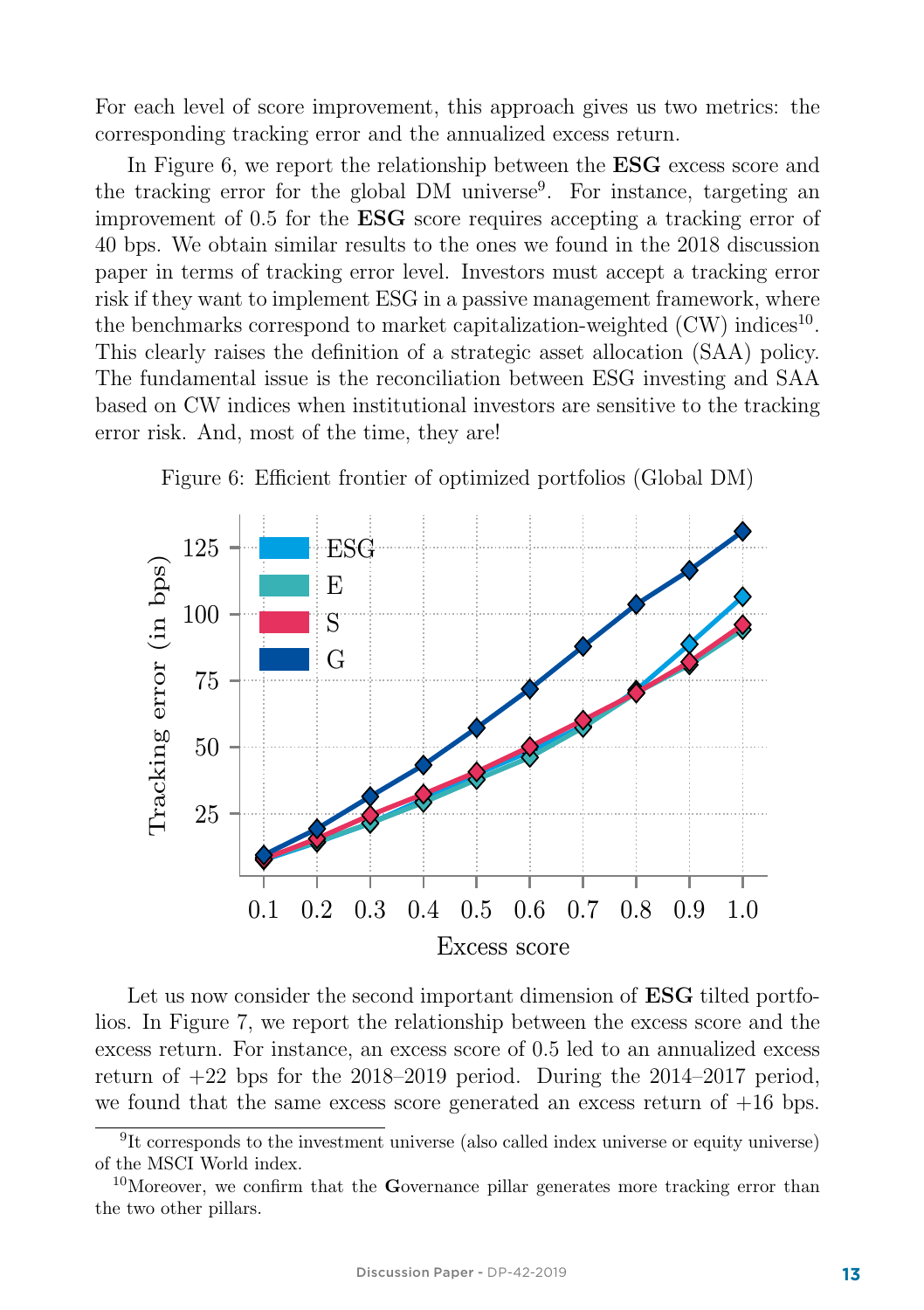For each level of score improvement, this approach gives us two metrics: the corresponding tracking error and the annualized excess return.

In Figure 6, we report the relationship between the **ESG** excess score and the tracking error for the global DM universe<sup>9</sup>. For instance, targeting an improvement of 0.5 for the ESG score requires accepting a tracking error of 40 bps. We obtain similar results to the ones we found in the 2018 discussion paper in terms of tracking error level. Investors must accept a tracking error risk if they want to implement ESG in a passive management framework, where the benchmarks correspond to market capitalization-weighted  $(CW)$  indices<sup>10</sup>. This clearly raises the definition of a strategic asset allocation (SAA) policy. The fundamental issue is the reconciliation between ESG investing and SAA based on CW indices when institutional investors are sensitive to the tracking error risk. And, most of the time, they are!





Let us now consider the second important dimension of **ESG** tilted portfolios. In Figure 7, we report the relationship between the excess score and the excess return. For instance, an excess score of 0.5 led to an annualized excess return of  $+22$  bps for the  $2018-2019$  period. During the  $2014-2017$  period. we found that the same excess score generated an excess return of  $+16$  bps.

<sup>&</sup>lt;sup>9</sup>It corresponds to the investment universe (also called index universe or equity universe) of the MSCI World index.

<sup>&</sup>lt;sup>10</sup>Moreover, we confirm that the Governance pillar generates more tracking error than the two other pillars.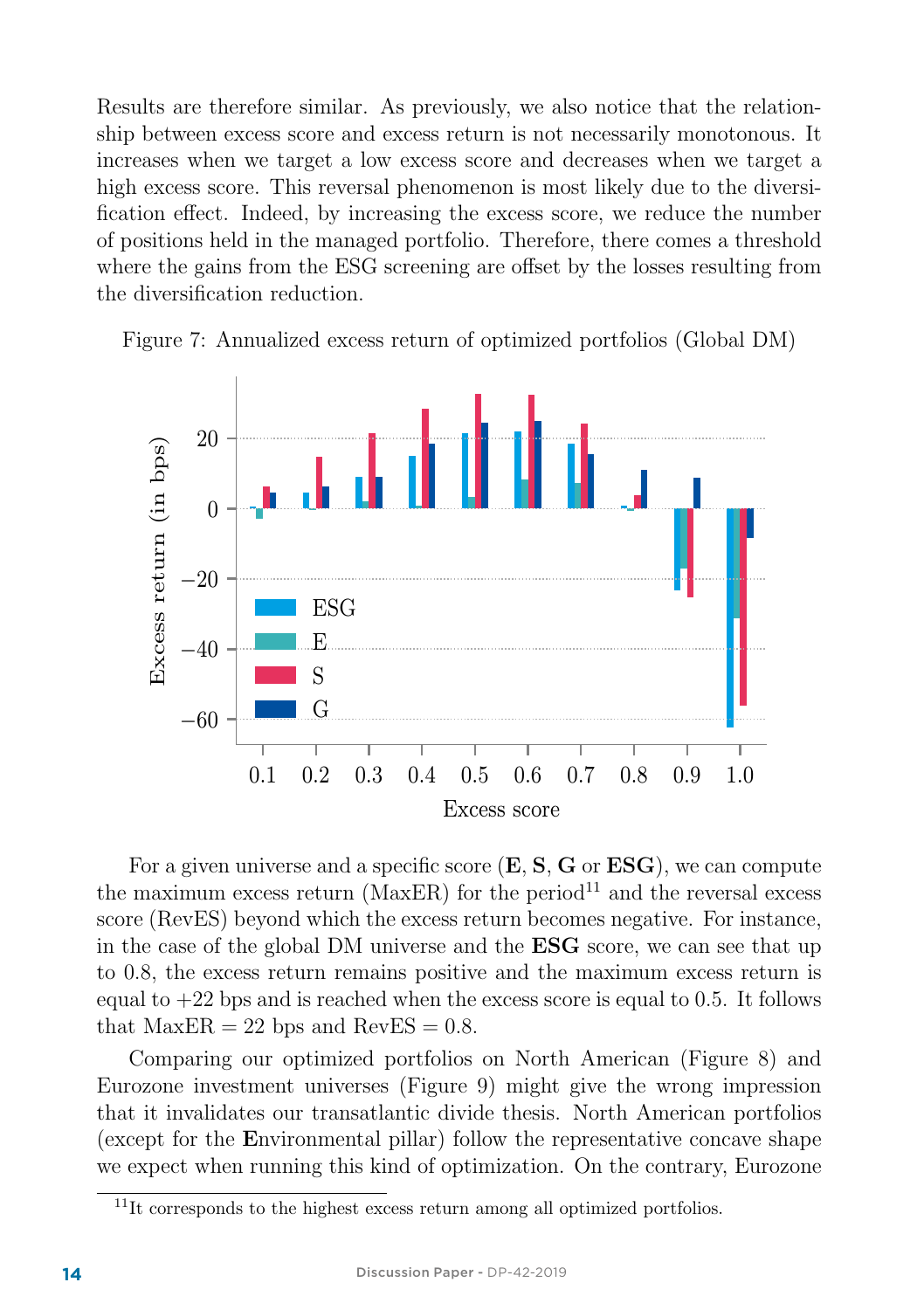Results are therefore similar. As previously, we also notice that the relationship between excess score and excess return is not necessarily monotonous. It increases when we target a low excess score and decreases when we target a high excess score. This reversal phenomenon is most likely due to the diversification effect. Indeed, by increasing the excess score, we reduce the number of positions held in the managed portfolio. Therefore, there comes a threshold where the gains from the ESG screening are offset by the losses resulting from the diversification reduction.



Figure 7: Annualized excess return of optimized portfolios (Global DM)

For a given universe and a specific score  $(E, S, G, \sigma ESG)$ , we can compute the maximum excess return ( $MaxER$ ) for the period<sup>11</sup> and the reversal excess score (RevES) beyond which the excess return becomes negative. For instance, in the case of the global DM universe and the ESG score, we can see that up to 0.8, the excess return remains positive and the maximum excess return is equal to  $+22$  bps and is reached when the excess score is equal to 0.5. It follows that  $MaxER = 22$  bps and  $RevES = 0.8$ .

Comparing our optimized portfolios on North American (Figure 8) and Eurozone investment universes (Figure 9) might give the wrong impression that it invalidates our transatlantic divide thesis. North American portfolios (except for the Environmental pillar) follow the representative concave shape we expect when running this kind of optimization. On the contrary, Eurozone

 $11$ It corresponds to the highest excess return among all optimized portfolios.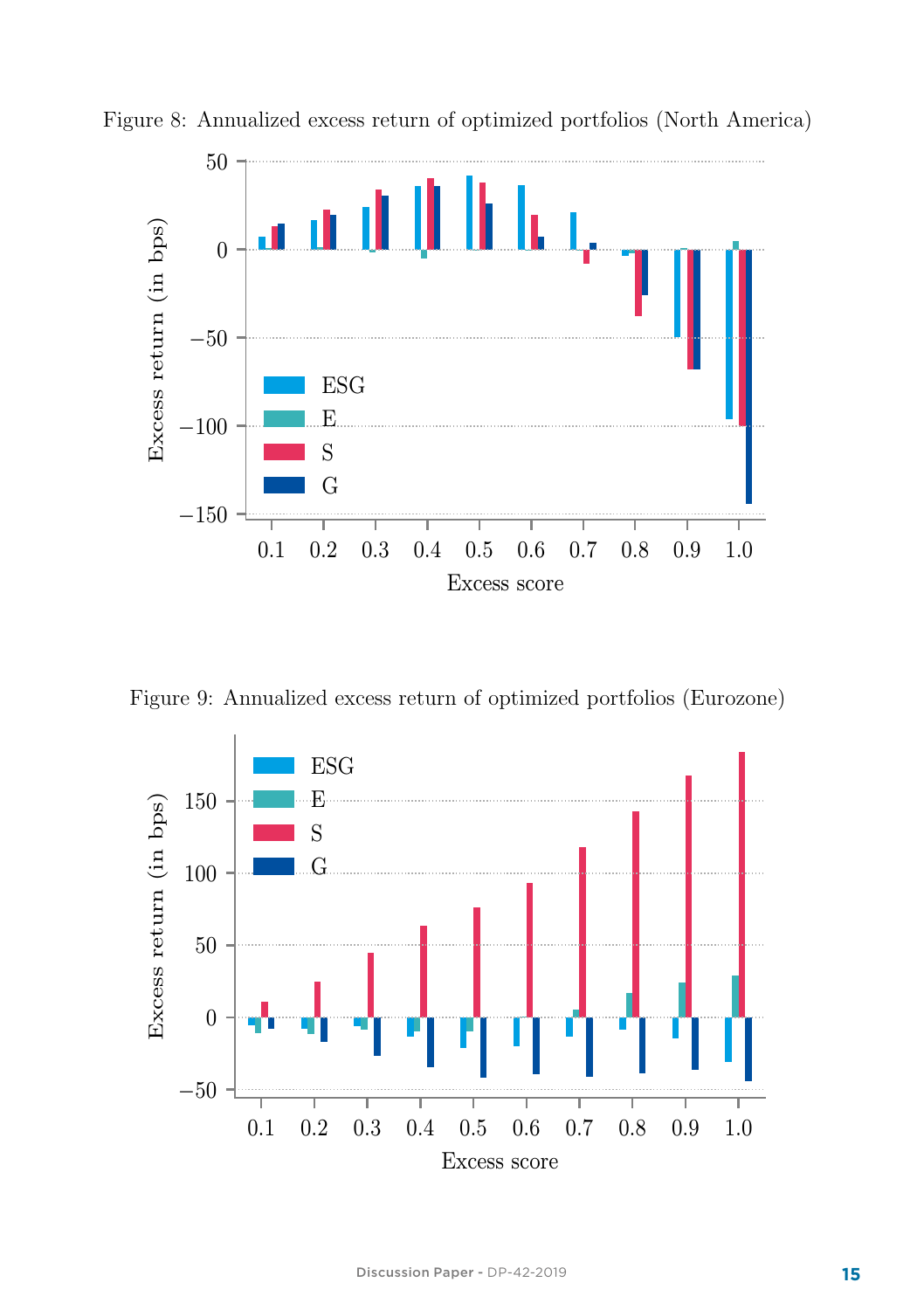

Figure 8: Annualized excess return of optimized portfolios (North America)

Figure 9: Annualized excess return of optimized portfolios (Eurozone)

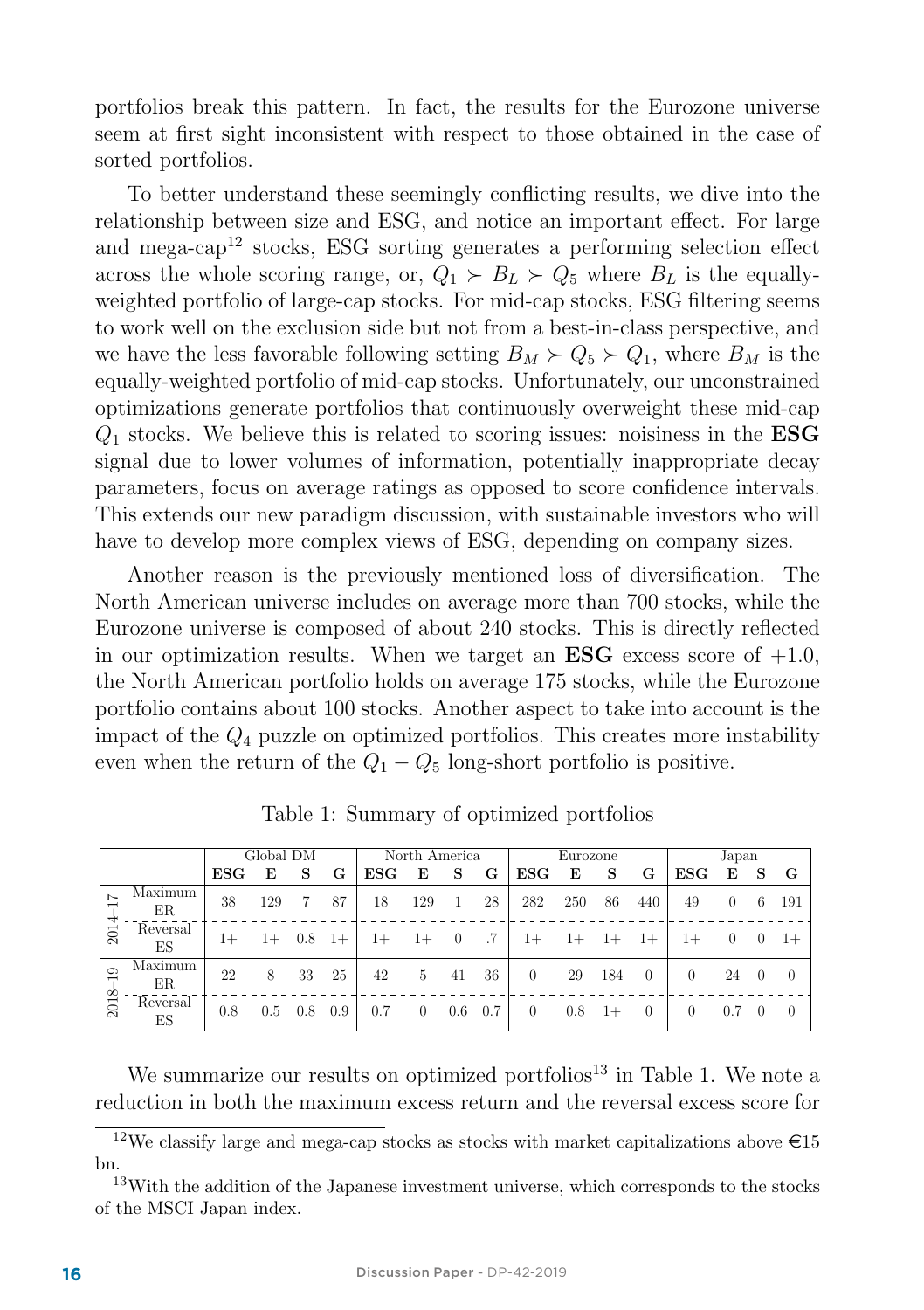portfolios break this pattern. In fact, the results for the Eurozone universe seem at first sight inconsistent with respect to those obtained in the case of sorted portfolios.

To better understand these seemingly conflicting results, we dive into the relationship between size and ESG, and notice an important effect. For large and mega-cap<sup>12</sup> stocks, ESG sorting generates a performing selection effect across the whole scoring range, or,  $Q_1 \succ B_L \succ Q_5$  where  $B_L$  is the equallyweighted portfolio of large-cap stocks. For mid-cap stocks, ESG filtering seems to work well on the exclusion side but not from a best-in-class perspective, and we have the less favorable following setting  $B_M \succ Q_5 \succ Q_1$ , where  $B_M$  is the equally-weighted portfolio of mid-cap stocks. Unfortunately, our unconstrained optimizations generate portfolios that continuously overweight these mid-cap  $Q_1$  stocks. We believe this is related to scoring issues: noisiness in the **ESG** signal due to lower volumes of information, potentially inappropriate decay parameters, focus on average ratings as opposed to score confidence intervals. This extends our new paradigm discussion, with sustainable investors who will have to develop more complex views of ESG, depending on company sizes.

Another reason is the previously mentioned loss of diversification. The North American universe includes on average more than 700 stocks, while the Eurozone universe is composed of about 240 stocks. This is directly reflected in our optimization results. When we target an  $\text{ESG}$  excess score of  $+1.0$ , the North American portfolio holds on average 175 stocks, while the Eurozone portfolio contains about 100 stocks. Another aspect to take into account is the impact of the  $Q_4$  puzzle on optimized portfolios. This creates more instability even when the return of the  $Q_1 - Q_5$  long-short portfolio is positive.

|                           |                | Global DM |      |         | North America |               |          |          | Eurozone |                    |      | Japan |          |                    |          |          |     |
|---------------------------|----------------|-----------|------|---------|---------------|---------------|----------|----------|----------|--------------------|------|-------|----------|--------------------|----------|----------|-----|
|                           |                | $_{ESG}$  | E    | S       | G             | $_{\rm{ESG}}$ | Е        | S        | G        | $_{\rm{ESG}}$      | E    | s     | G        | $_{\rm{ESG}}$      | E        | -S       | G   |
| ┯<br>2014                 | Maximum<br>ER  | 38        | 129  |         | 87            | 18            | 129      |          | 28       | 282                | 250  | 86    | 440      | 49                 | $\Omega$ | -6       | 191 |
|                           | Reversal<br>ES | $1+$      | $1+$ | $0.8\,$ | $1+$          | $1+$          | $1+$     | $\theta$ |          | $1+$               | $1+$ | $1+$  | $1+$     | $_{1+}$            |          |          |     |
| $\frac{1}{2}$<br>œ<br>201 | Maximum<br>ER  | 22        | 8    | 33      | 25            | 42            | 5        | 41       | 36       | $\theta$           | 29   | 184   | $\theta$ | $\left( 0 \right)$ | 24       | $\Omega$ | -0  |
|                           | Reversal<br>ES | 0.8       | 0.5  | 0.8     | 0.9           | 0.7           | $\theta$ | $0.6\,$  | 0.7      | $\left( 0 \right)$ | 0.8  | $1+$  | $\Omega$ | $\theta$           |          |          |     |

Table 1: Summary of optimized portfolios

We summarize our results on optimized portfolios<sup>13</sup> in Table 1. We note a reduction in both the maximum excess return and the reversal excess score for

 $^{12}\text{We classify large and mega-cap stocks}$  as stocks with market capitalizations above  $\in 15$ bn.

<sup>&</sup>lt;sup>13</sup>With the addition of the Japanese investment universe, which corresponds to the stocks of the MSCI Japan index.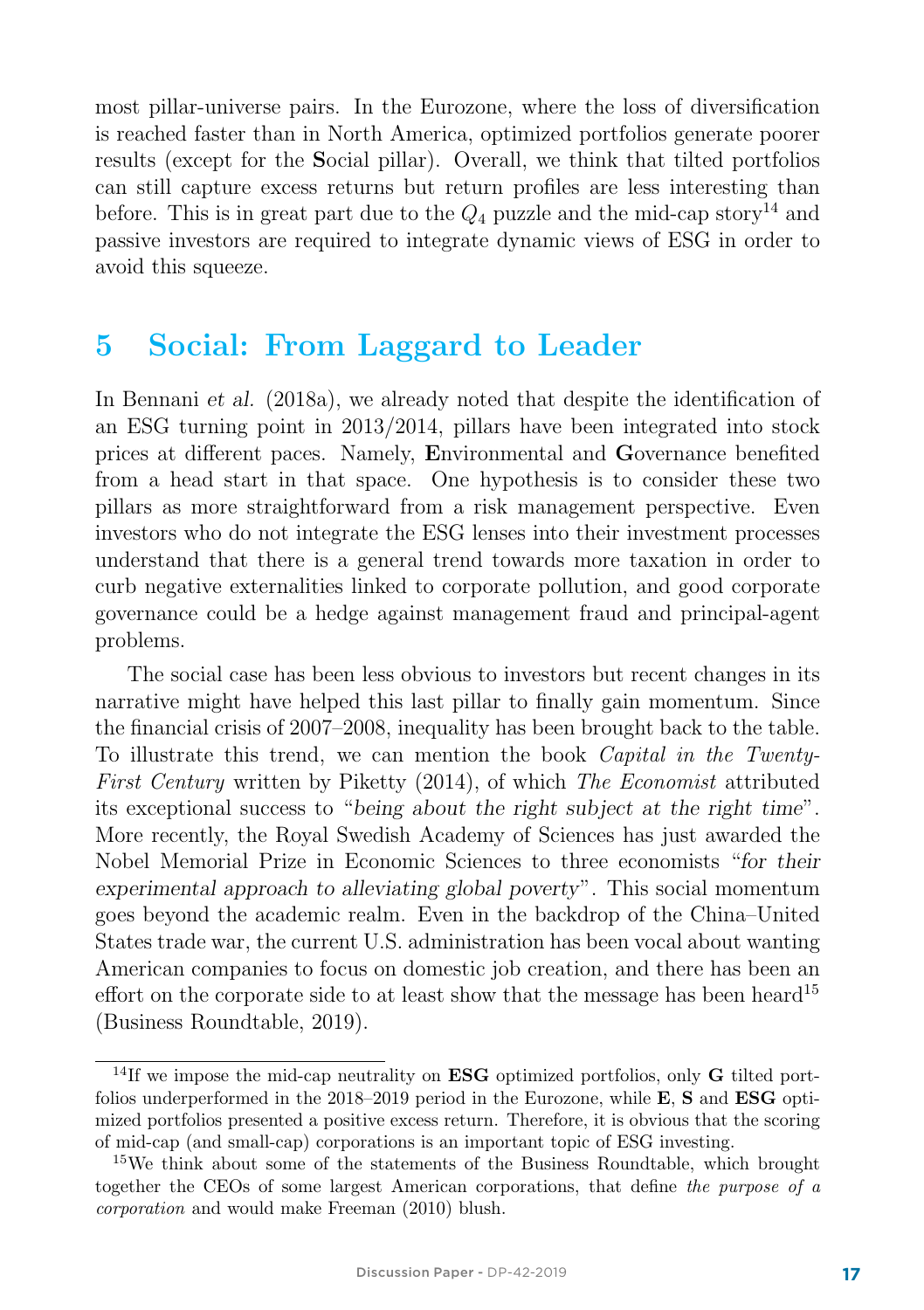most pillar-universe pairs. In the Eurozone, where the loss of diversification is reached faster than in North America, optimized portfolios generate poorer results (except for the Social pillar). Overall, we think that tilted portfolios can still capture excess returns but return profiles are less interesting than before. This is in great part due to the  $Q_4$  puzzle and the mid-cap story<sup>14</sup> and passive investors are required to integrate dynamic views of ESG in order to avoid this squeeze.

### 5 Social: From Laggard to Leader

In Bennani et al. (2018a), we already noted that despite the identification of an ESG turning point in 2013/2014, pillars have been integrated into stock prices at different paces. Namely, Environmental and Governance benefited from a head start in that space. One hypothesis is to consider these two pillars as more straightforward from a risk management perspective. Even investors who do not integrate the ESG lenses into their investment processes understand that there is a general trend towards more taxation in order to curb negative externalities linked to corporate pollution, and good corporate governance could be a hedge against management fraud and principal-agent problems.

The social case has been less obvious to investors but recent changes in its narrative might have helped this last pillar to finally gain momentum. Since the financial crisis of 2007–2008, inequality has been brought back to the table. To illustrate this trend, we can mention the book Capital in the Twenty-First Century written by Piketty (2014), of which The Economist attributed its exceptional success to "being about the right subject at the right time". More recently, the Royal Swedish Academy of Sciences has just awarded the Nobel Memorial Prize in Economic Sciences to three economists "for their experimental approach to alleviating global poverty". This social momentum goes beyond the academic realm. Even in the backdrop of the China–United States trade war, the current U.S. administration has been vocal about wanting American companies to focus on domestic job creation, and there has been an effort on the corporate side to at least show that the message has been heard<sup>15</sup> (Business Roundtable, 2019).

<sup>&</sup>lt;sup>14</sup>If we impose the mid-cap neutrality on **ESG** optimized portfolios, only **G** tilted portfolios underperformed in the  $2018-2019$  period in the Eurozone, while **E, S** and **ESG** optimized portfolios presented a positive excess return. Therefore, it is obvious that the scoring of mid-cap (and small-cap) corporations is an important topic of ESG investing.

<sup>&</sup>lt;sup>15</sup>We think about some of the statements of the Business Roundtable, which brought together the CEOs of some largest American corporations, that define the purpose of a corporation and would make Freeman (2010) blush.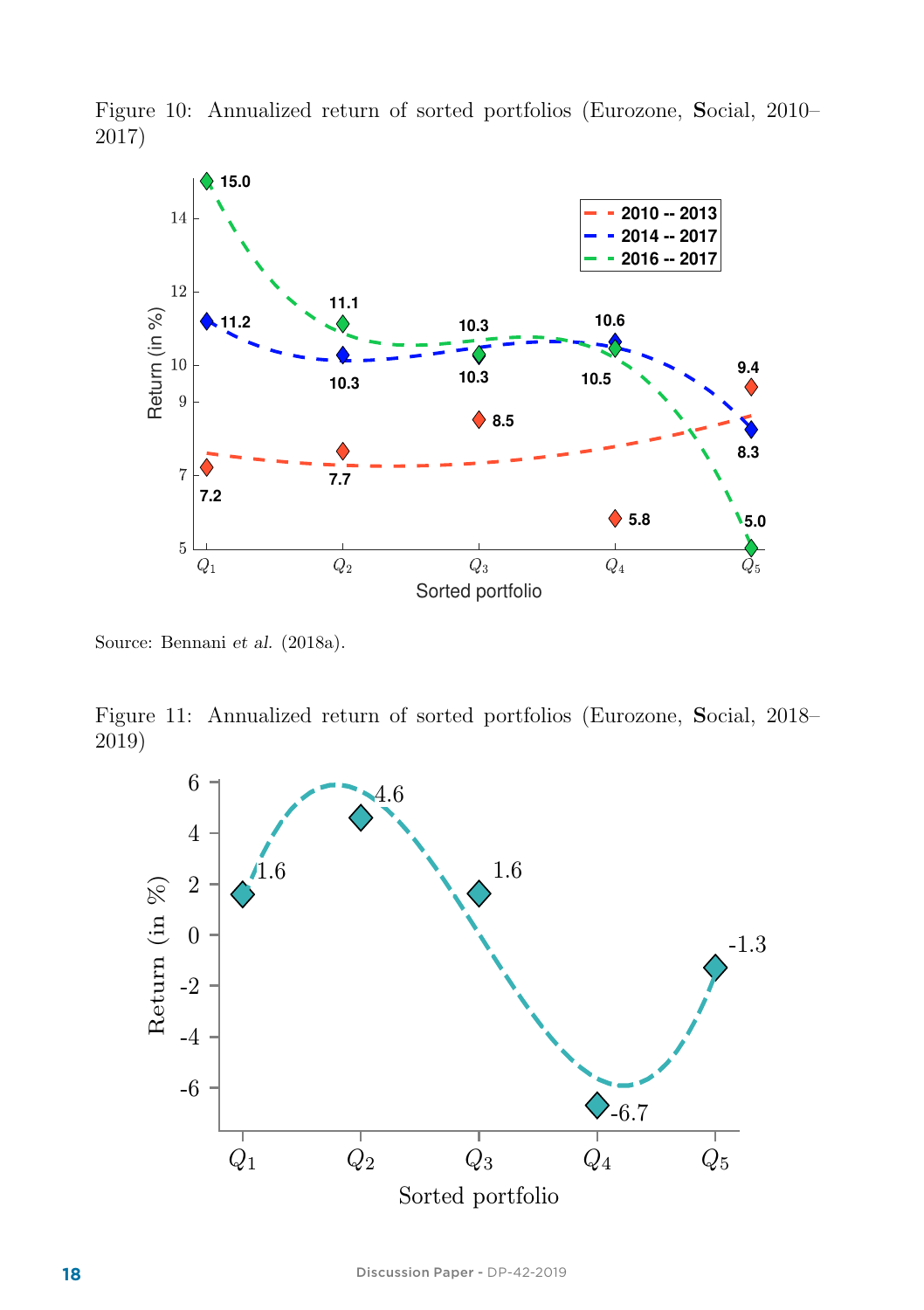

Figure 10: Annualized return of sorted portfolios (Eurozone, Social, 2010– 2017)

Source: Bennani et al. (2018a).

Figure 11: Annualized return of sorted portfolios (Eurozone, Social, 2018– 2019)

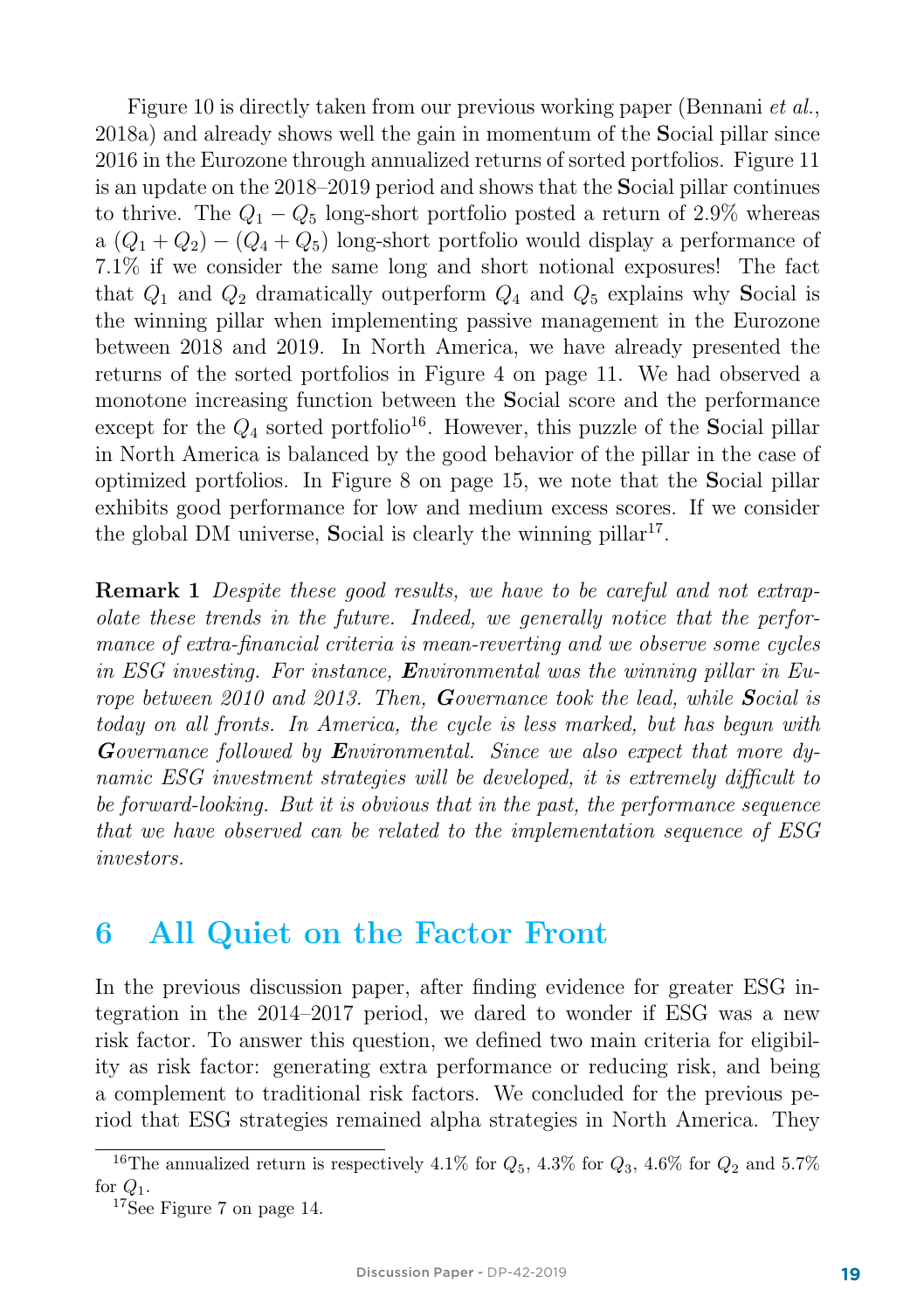Figure 10 is directly taken from our previous working paper (Bennani et al., 2018a) and already shows well the gain in momentum of the Social pillar since 2016 in the Eurozone through annualized returns of sorted portfolios. Figure 11 is an update on the 2018–2019 period and shows that the Social pillar continues to thrive. The  $Q_1 - Q_5$  long-short portfolio posted a return of 2.9% whereas a  $(Q_1 + Q_2) - (Q_4 + Q_5)$  long-short portfolio would display a performance of 7.1% if we consider the same long and short notional exposures! The fact that  $Q_1$  and  $Q_2$  dramatically outperform  $Q_4$  and  $Q_5$  explains why Social is the winning pillar when implementing passive management in the Eurozone between 2018 and 2019. In North America, we have already presented the returns of the sorted portfolios in Figure 4 on page 11. We had observed a monotone increasing function between the Social score and the performance except for the  $Q_4$  sorted portfolio<sup>16</sup>. However, this puzzle of the Social pillar in North America is balanced by the good behavior of the pillar in the case of optimized portfolios. In Figure 8 on page 15, we note that the Social pillar exhibits good performance for low and medium excess scores. If we consider the global DM universe, Social is clearly the winning pillar<sup>17</sup>.

**Remark 1** Despite these good results, we have to be careful and not extrapolate these trends in the future. Indeed, we generally notice that the performance of extra-financial criteria is mean-reverting and we observe some cycles in ESG investing. For instance, Environmental was the winning pillar in Europe between 2010 and 2013. Then, Governance took the lead, while Social is today on all fronts. In America, the cycle is less marked, but has begun with Governance followed by Environmental. Since we also expect that more dynamic ESG investment strategies will be developed, it is extremely difficult to be forward-looking. But it is obvious that in the past, the performance sequence that we have observed can be related to the implementation sequence of ESG investors.

#### 6 All Quiet on the Factor Front

In the previous discussion paper, after finding evidence for greater ESG integration in the 2014–2017 period, we dared to wonder if ESG was a new risk factor. To answer this question, we defined two main criteria for eligibility as risk factor: generating extra performance or reducing risk, and being a complement to traditional risk factors. We concluded for the previous period that ESG strategies remained alpha strategies in North America. They

<sup>&</sup>lt;sup>16</sup>The annualized return is respectively 4.1% for  $Q_5$ , 4.3% for  $Q_3$ , 4.6% for  $Q_2$  and 5.7% for  $Q_1$ .<br><sup>17</sup>See Figure 7 on page 14.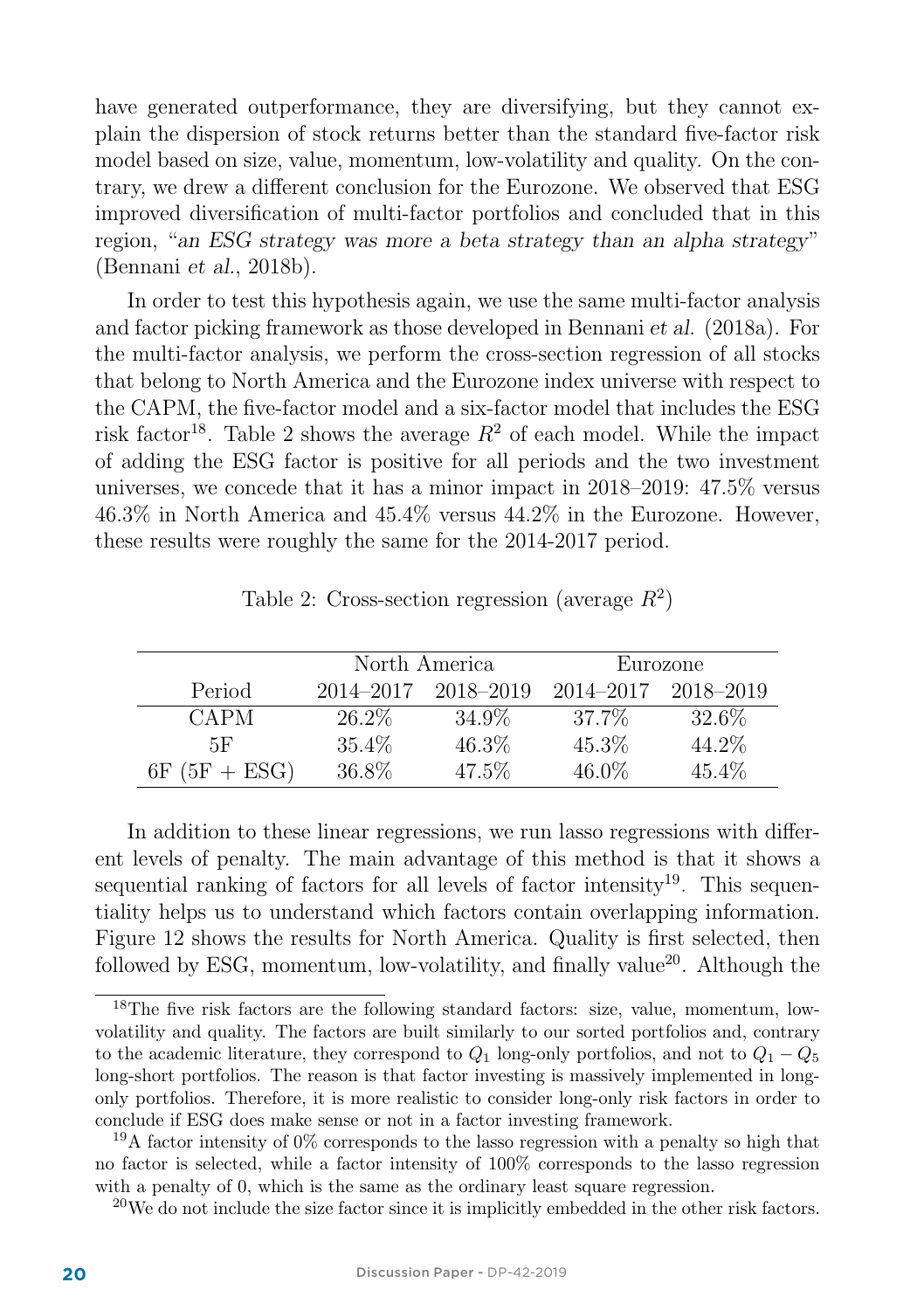have generated outperformance, they are diversifying, but they cannot explain the dispersion of stock returns better than the standard five-factor risk model based on size, value, momentum, low-volatility and quality. On the contrary, we drew a different conclusion for the Eurozone. We observed that ESG improved diversification of multi-factor portfolios and concluded that in this region, "an ESG strategy was more a beta strategy than an alpha strategy" (Bennani et al., 2018b).

In order to test this hypothesis again, we use the same multi-factor analysis and factor picking framework as those developed in Bennani et al. (2018a). For the multi-factor analysis, we perform the cross-section regression of all stocks that belong to North America and the Eurozone index universe with respect to the CAPM, the five-factor model and a six-factor model that includes the ESG risk factor<sup>18</sup>. Table 2 shows the average  $R^2$  of each model. While the impact of adding the ESG factor is positive for all periods and the two investment universes, we concede that it has a minor impact in 2018–2019: 47.5% versus 46.3% in North America and 45.4% versus 44.2% in the Eurozone. However, these results were roughly the same for the 2014-2017 period.

|                 |           | North America | Eurozone      |           |  |  |
|-----------------|-----------|---------------|---------------|-----------|--|--|
| Period          | 2014-2017 | 2018–2019     | $2014 - 2017$ | 2018–2019 |  |  |
| <b>CAPM</b>     | $26.2\%$  | 34.9%         | 37.7%         | 32.6\%    |  |  |
| 5F              | $35.4\%$  | $46.3\%$      | 45.3%         | 44.2%     |  |  |
| $6F (5F + ESG)$ | 36.8%     | 47.5%         | $46.0\%$      | 45.4%     |  |  |

In addition to these linear regressions, we run lasso regressions with different levels of penalty. The main advantage of this method is that it shows a sequential ranking of factors for all levels of factor intensity<sup>19</sup>. This sequentiality helps us to understand which factors contain overlapping information. Figure 12 shows the results for North America. Quality is first selected, then followed by ESG, momentum, low-volatility, and finally value<sup>20</sup>. Although the

 $^{20}$ We do not include the size factor since it is implicitly embedded in the other risk factors.

<sup>18</sup>The five risk factors are the following standard factors: size, value, momentum, lowvolatility and quality. The factors are built similarly to our sorted portfolios and, contrary to the academic literature, they correspond to  $Q_1$  long-only portfolios, and not to  $Q_1 - Q_5$ long-short portfolios. The reason is that factor investing is massively implemented in longonly portfolios. Therefore, it is more realistic to consider long-only risk factors in order to conclude if ESG does make sense or not in a factor investing framework.

<sup>&</sup>lt;sup>19</sup>A factor intensity of  $0\%$  corresponds to the lasso regression with a penalty so high that no factor is selected, while a factor intensity of 100% corresponds to the lasso regression with a penalty of 0, which is the same as the ordinary least square regression.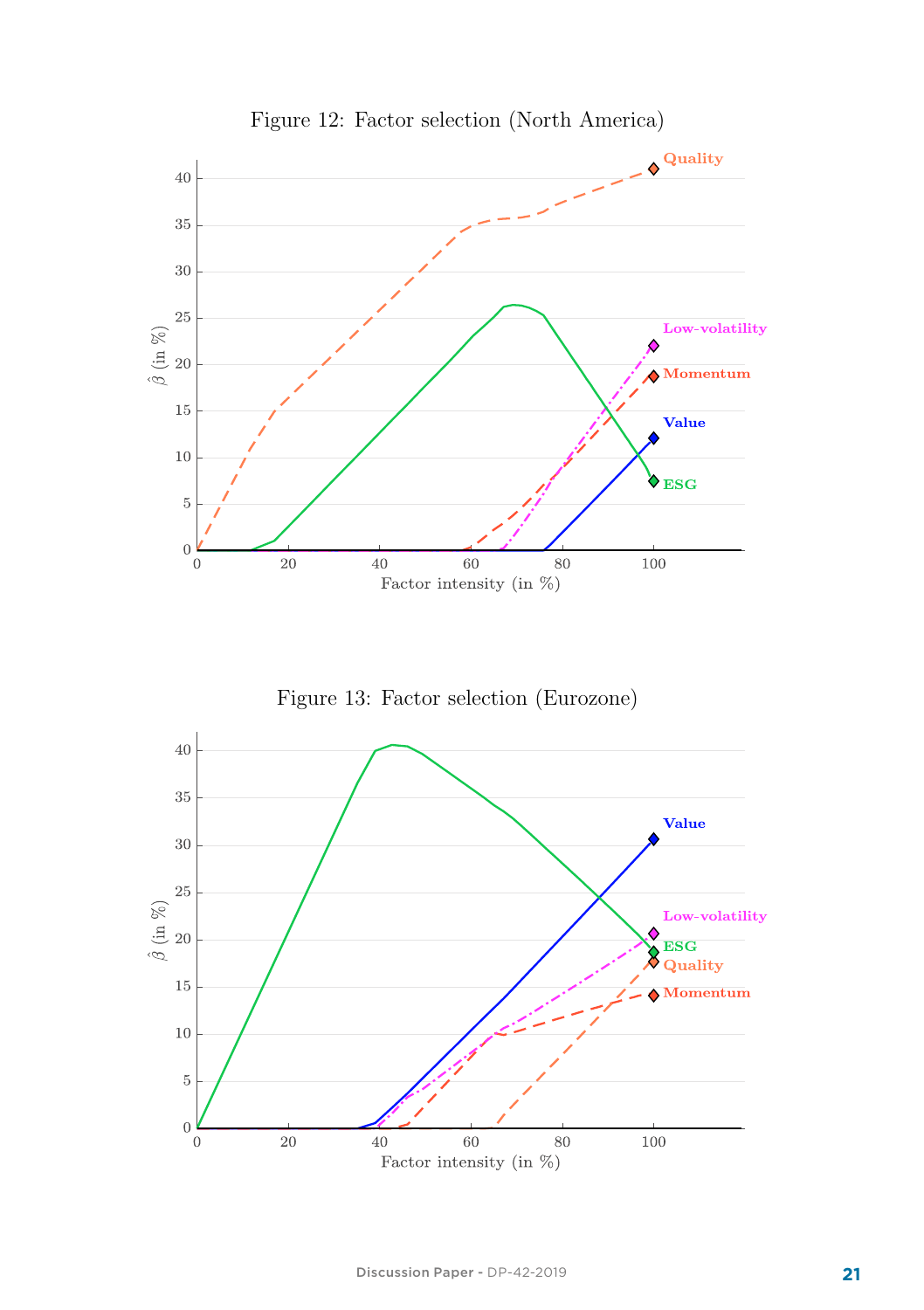

Figure 12: Factor selection (North America)

Figure 13: Factor selection (Eurozone)

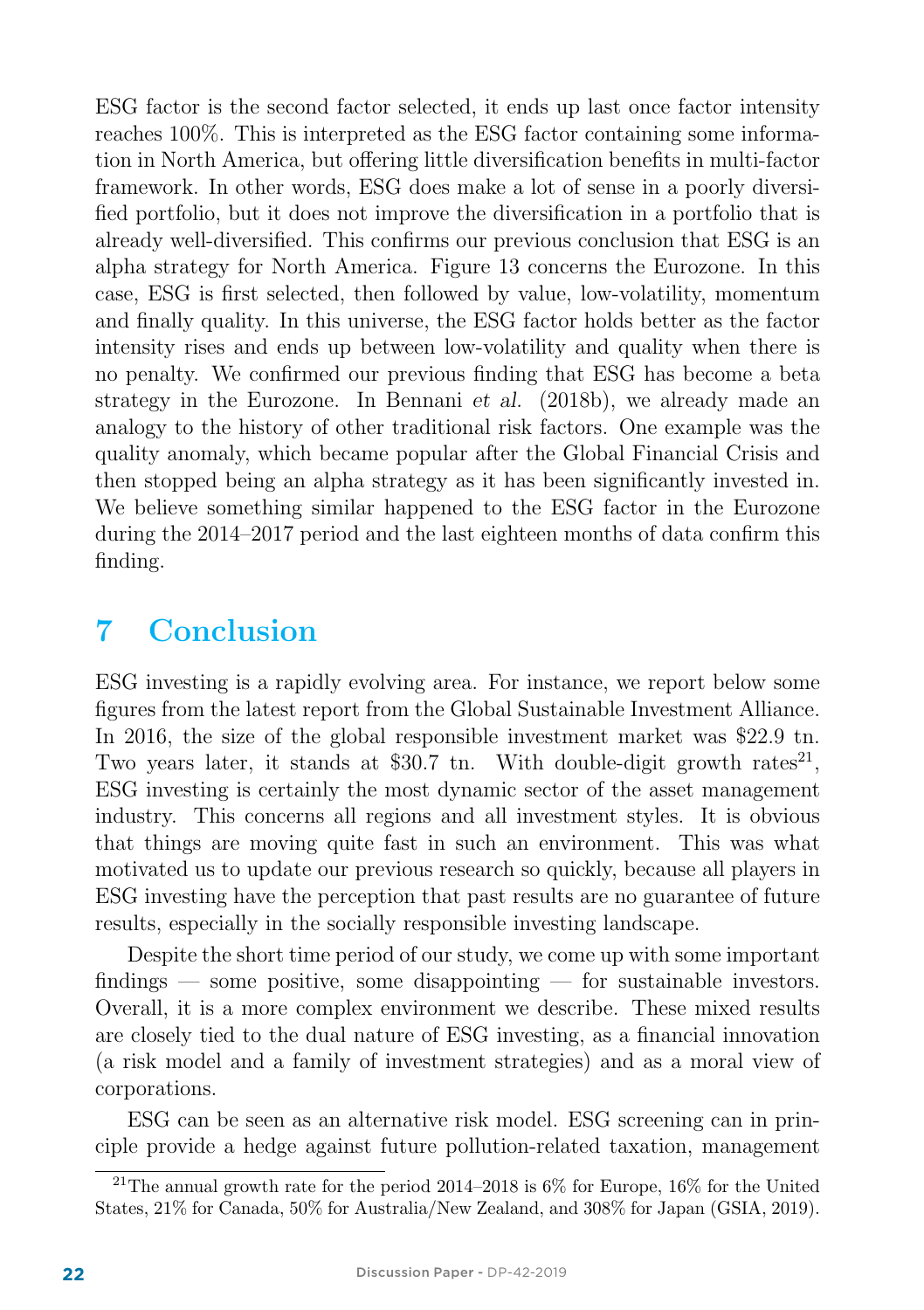ESG factor is the second factor selected, it ends up last once factor intensity reaches 100%. This is interpreted as the ESG factor containing some information in North America, but offering little diversification benefits in multi-factor framework. In other words, ESG does make a lot of sense in a poorly diversified portfolio, but it does not improve the diversification in a portfolio that is already well-diversified. This confirms our previous conclusion that ESG is an alpha strategy for North America. Figure 13 concerns the Eurozone. In this case, ESG is first selected, then followed by value, low-volatility, momentum and finally quality. In this universe, the ESG factor holds better as the factor intensity rises and ends up between low-volatility and quality when there is no penalty. We confirmed our previous finding that ESG has become a beta strategy in the Eurozone. In Bennani et al. (2018b), we already made an analogy to the history of other traditional risk factors. One example was the quality anomaly, which became popular after the Global Financial Crisis and then stopped being an alpha strategy as it has been significantly invested in. We believe something similar happened to the ESG factor in the Eurozone during the 2014–2017 period and the last eighteen months of data confirm this finding.

### 7 Conclusion

ESG investing is a rapidly evolving area. For instance, we report below some figures from the latest report from the Global Sustainable Investment Alliance. In 2016, the size of the global responsible investment market was \$22.9 tn. Two years later, it stands at \$30.7 tn. With double-digit growth rates<sup>21</sup>, ESG investing is certainly the most dynamic sector of the asset management industry. This concerns all regions and all investment styles. It is obvious that things are moving quite fast in such an environment. This was what motivated us to update our previous research so quickly, because all players in ESG investing have the perception that past results are no guarantee of future results, especially in the socially responsible investing landscape.

Despite the short time period of our study, we come up with some important findings — some positive, some disappointing — for sustainable investors. Overall, it is a more complex environment we describe. These mixed results are closely tied to the dual nature of ESG investing, as a financial innovation (a risk model and a family of investment strategies) and as a moral view of corporations.

ESG can be seen as an alternative risk model. ESG screening can in principle provide a hedge against future pollution-related taxation, management

<sup>&</sup>lt;sup>21</sup>The annual growth rate for the period 2014–2018 is  $6\%$  for Europe, 16% for the United States, 21% for Canada, 50% for Australia/New Zealand, and 308% for Japan (GSIA, 2019).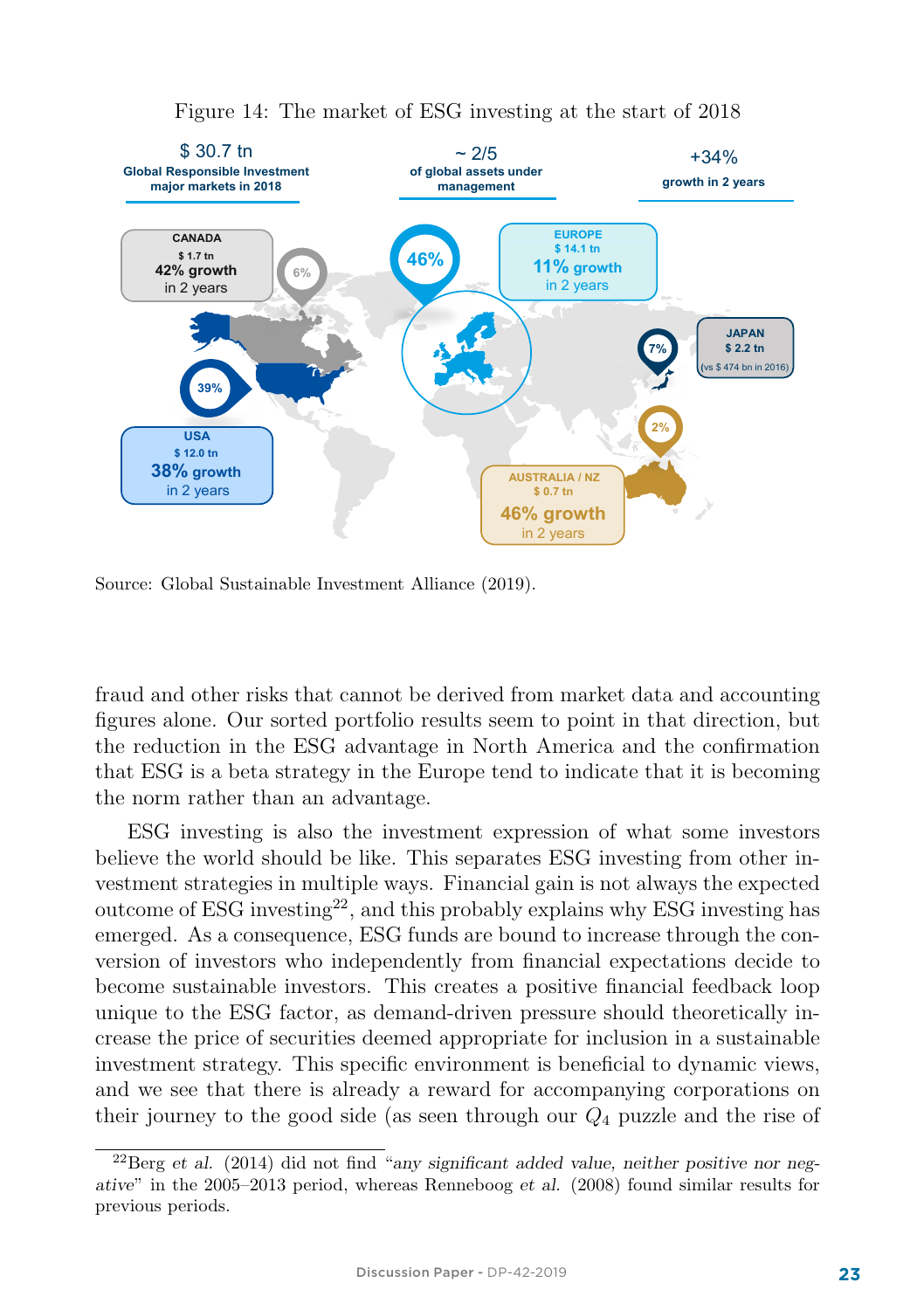

#### Figure 14: The market of ESG investing at the start of 2018

Source: Global Sustainable Investment Alliance (2019).

fraud and other risks that cannot be derived from market data and accounting figures alone. Our sorted portfolio results seem to point in that direction, but the reduction in the ESG advantage in North America and the confirmation that ESG is a beta strategy in the Europe tend to indicate that it is becoming the norm rather than an advantage.

ESG investing is also the investment expression of what some investors believe the world should be like. This separates ESG investing from other investment strategies in multiple ways. Financial gain is not always the expected outcome of ESG investing<sup>22</sup>, and this probably explains why ESG investing has emerged. As a consequence, ESG funds are bound to increase through the conversion of investors who independently from financial expectations decide to become sustainable investors. This creates a positive financial feedback loop unique to the ESG factor, as demand-driven pressure should theoretically increase the price of securities deemed appropriate for inclusion in a sustainable investment strategy. This specific environment is beneficial to dynamic views, and we see that there is already a reward for accompanying corporations on their journey to the good side (as seen through our  $Q_4$  puzzle and the rise of

 $^{22}$ Berg et al. (2014) did not find "any significant added value, neither positive nor negative" in the 2005–2013 period, whereas Renneboog et al. (2008) found similar results for previous periods.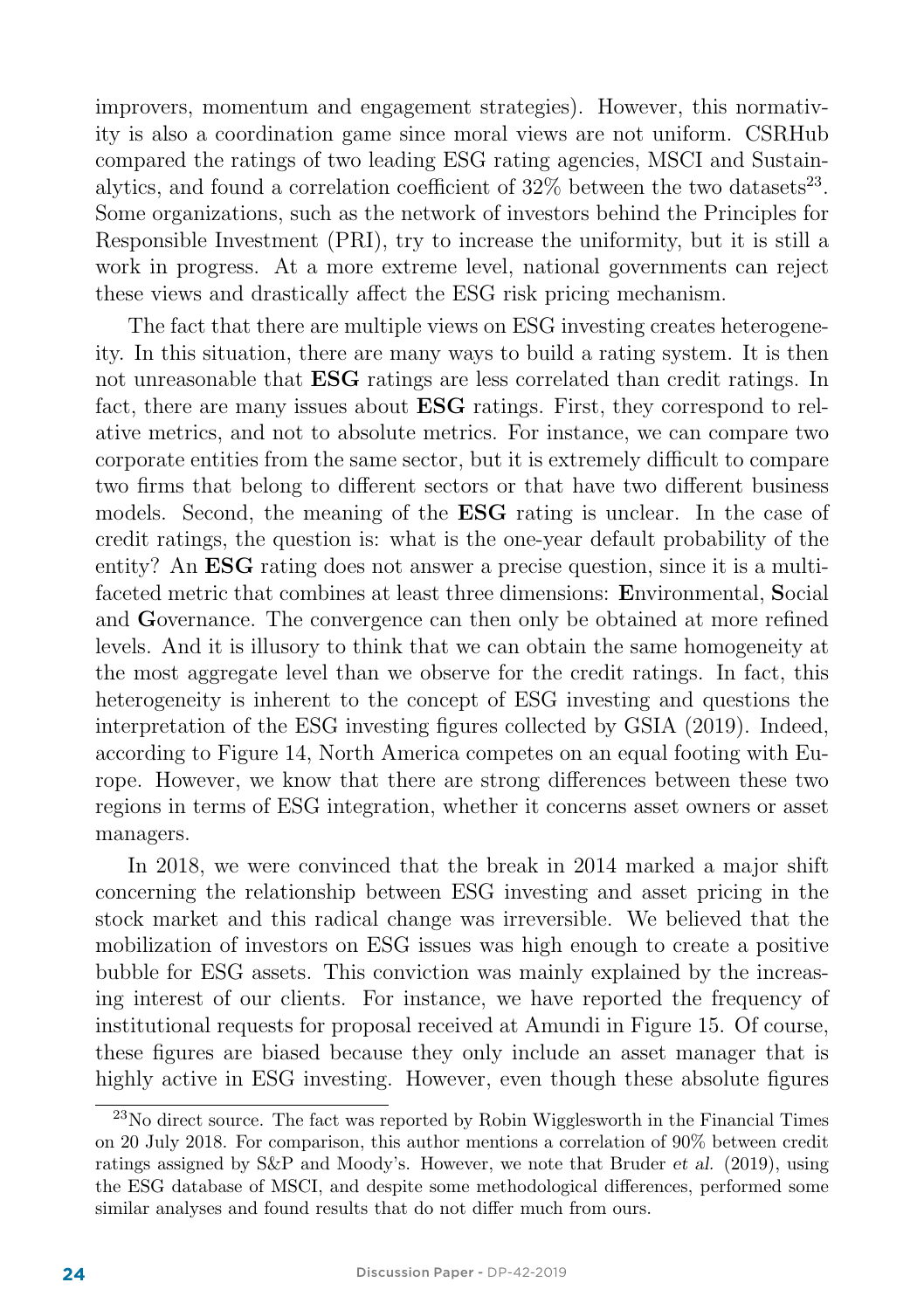improvers, momentum and engagement strategies). However, this normativity is also a coordination game since moral views are not uniform. CSRHub compared the ratings of two leading ESG rating agencies, MSCI and Sustainalytics, and found a correlation coefficient of  $32\%$  between the two datasets<sup>23</sup>. Some organizations, such as the network of investors behind the Principles for Responsible Investment (PRI), try to increase the uniformity, but it is still a work in progress. At a more extreme level, national governments can reject these views and drastically affect the ESG risk pricing mechanism.

The fact that there are multiple views on ESG investing creates heterogeneity. In this situation, there are many ways to build a rating system. It is then not unreasonable that ESG ratings are less correlated than credit ratings. In fact, there are many issues about ESG ratings. First, they correspond to relative metrics, and not to absolute metrics. For instance, we can compare two corporate entities from the same sector, but it is extremely difficult to compare two firms that belong to different sectors or that have two different business models. Second, the meaning of the ESG rating is unclear. In the case of credit ratings, the question is: what is the one-year default probability of the entity? An ESG rating does not answer a precise question, since it is a multifaceted metric that combines at least three dimensions: Environmental, Social and Governance. The convergence can then only be obtained at more refined levels. And it is illusory to think that we can obtain the same homogeneity at the most aggregate level than we observe for the credit ratings. In fact, this heterogeneity is inherent to the concept of ESG investing and questions the interpretation of the ESG investing figures collected by GSIA (2019). Indeed, according to Figure 14, North America competes on an equal footing with Europe. However, we know that there are strong differences between these two regions in terms of ESG integration, whether it concerns asset owners or asset managers.

In 2018, we were convinced that the break in 2014 marked a major shift concerning the relationship between ESG investing and asset pricing in the stock market and this radical change was irreversible. We believed that the mobilization of investors on ESG issues was high enough to create a positive bubble for ESG assets. This conviction was mainly explained by the increasing interest of our clients. For instance, we have reported the frequency of institutional requests for proposal received at Amundi in Figure 15. Of course, these figures are biased because they only include an asset manager that is highly active in ESG investing. However, even though these absolute figures

 $^{23}$ No direct source. The fact was reported by Robin Wigglesworth in the Financial Times on 20 July 2018. For comparison, this author mentions a correlation of 90% between credit ratings assigned by S&P and Moody's. However, we note that Bruder et al. (2019), using the ESG database of MSCI, and despite some methodological differences, performed some similar analyses and found results that do not differ much from ours.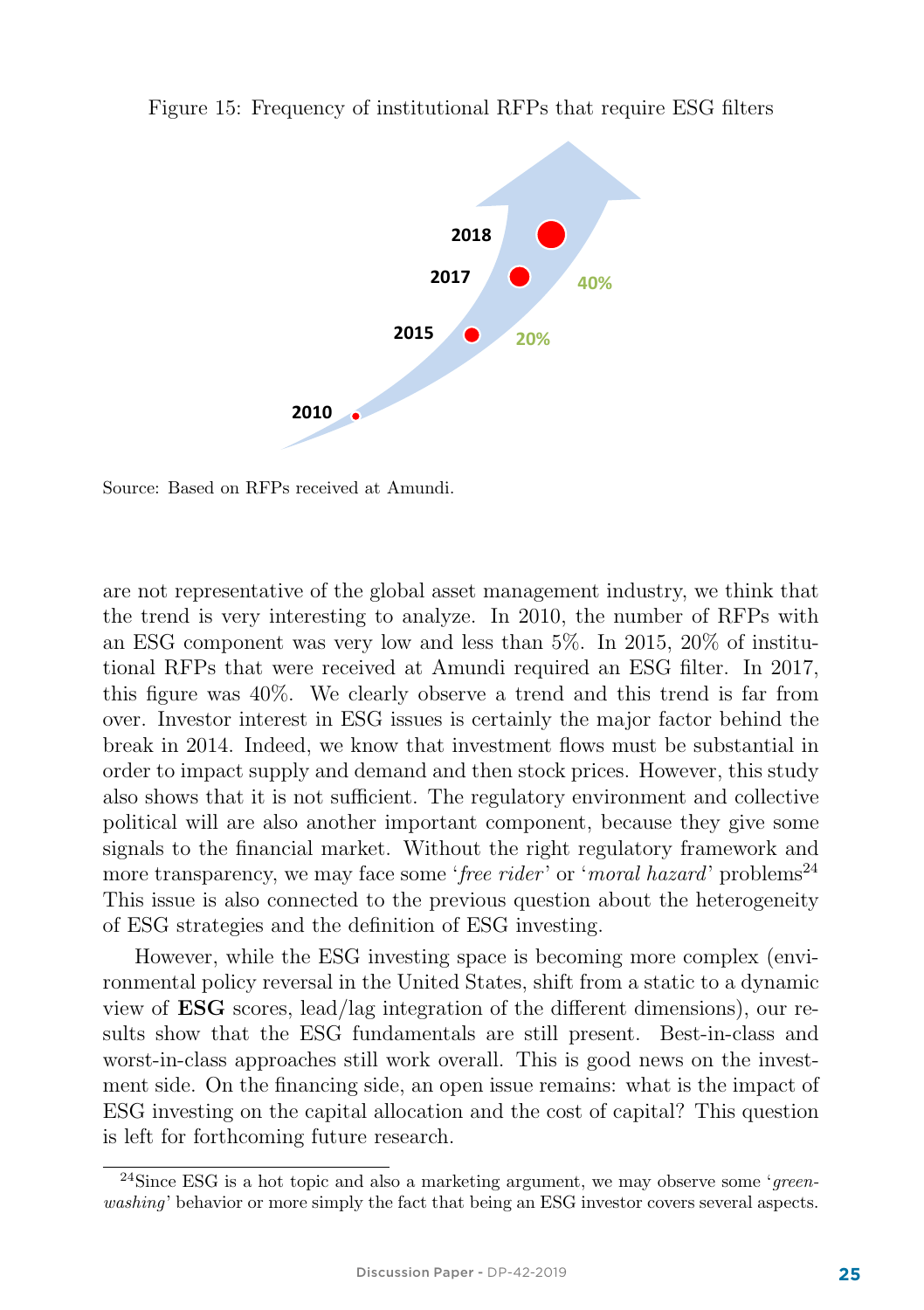

Figure 15: Frequency of institutional RFPs that require ESG filters

Source: Based on RFPs received at Amundi.

are not representative of the global asset management industry, we think that the trend is very interesting to analyze. In 2010, the number of RFPs with an ESG component was very low and less than 5%. In 2015, 20% of institutional RFPs that were received at Amundi required an ESG filter. In 2017, this figure was 40%. We clearly observe a trend and this trend is far from over. Investor interest in ESG issues is certainly the major factor behind the break in 2014. Indeed, we know that investment flows must be substantial in order to impact supply and demand and then stock prices. However, this study also shows that it is not sufficient. The regulatory environment and collective political will are also another important component, because they give some signals to the financial market. Without the right regulatory framework and more transparency, we may face some 'free rider' or 'moral hazard' problems<sup>24</sup> This issue is also connected to the previous question about the heterogeneity of ESG strategies and the definition of ESG investing.

However, while the ESG investing space is becoming more complex (environmental policy reversal in the United States, shift from a static to a dynamic view of ESG scores, lead/lag integration of the different dimensions), our results show that the ESG fundamentals are still present. Best-in-class and worst-in-class approaches still work overall. This is good news on the investment side. On the financing side, an open issue remains: what is the impact of ESG investing on the capital allocation and the cost of capital? This question is left for forthcoming future research.

<sup>&</sup>lt;sup>24</sup>Since ESG is a hot topic and also a marketing argument, we may observe some 'greenwashing' behavior or more simply the fact that being an ESG investor covers several aspects.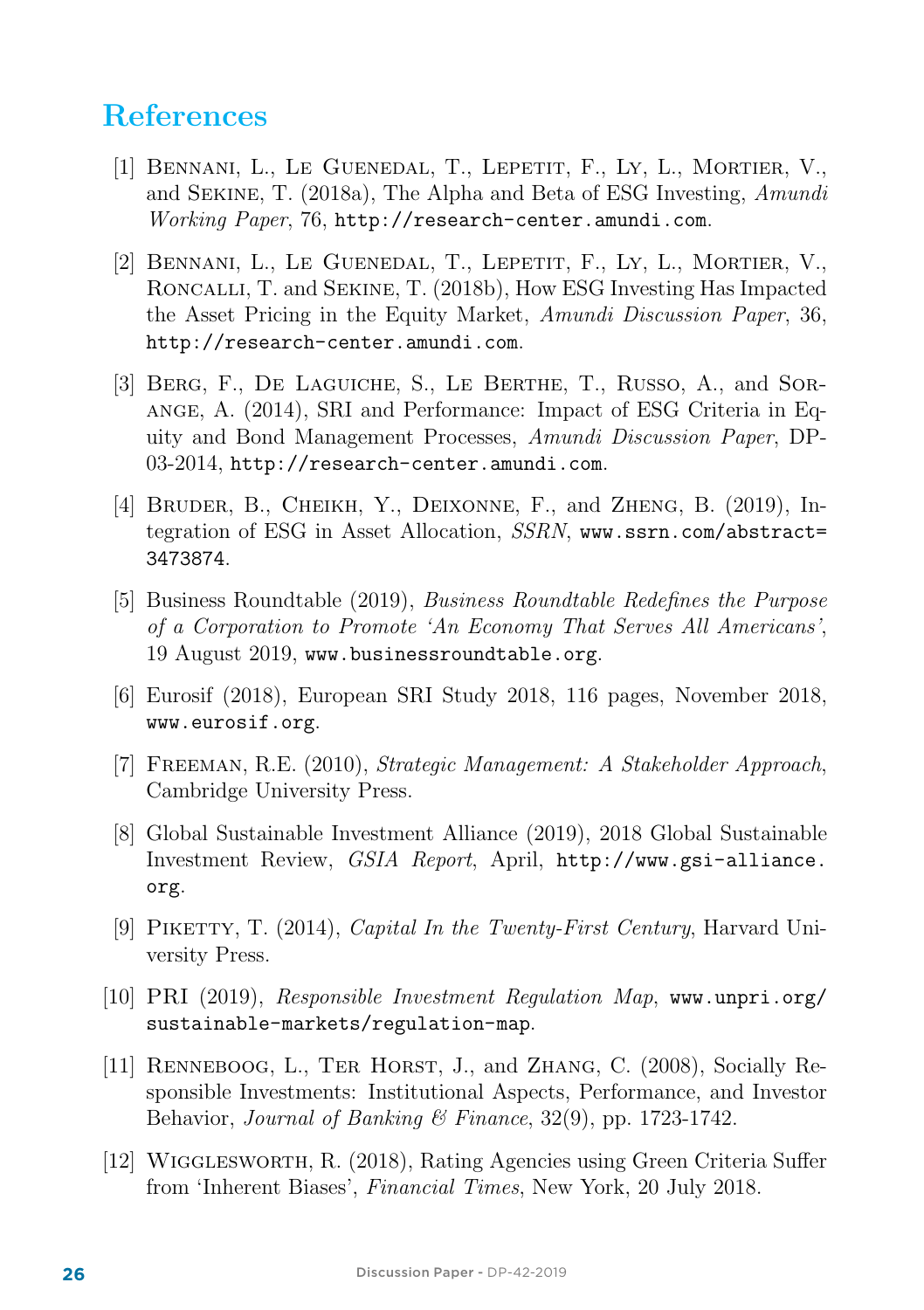### References

- [1] Bennani, L., Le Guenedal, T., Lepetit, F., Ly, L., Mortier, V., and Sekine, T. (2018a), The Alpha and Beta of ESG Investing, Amundi Working Paper, 76, http://research-center.amundi.com.
- [2] Bennani, L., Le Guenedal, T., Lepetit, F., Ly, L., Mortier, V., Roncalli, T. and Sekine, T. (2018b), How ESG Investing Has Impacted the Asset Pricing in the Equity Market, Amundi Discussion Paper, 36, http://research-center.amundi.com.
- [3] Berg, F., De Laguiche, S., Le Berthe, T., Russo, A., and Sorange, A. (2014), SRI and Performance: Impact of ESG Criteria in Equity and Bond Management Processes, Amundi Discussion Paper, DP-03-2014, http://research-center.amundi.com.
- [4] Bruder, B., Cheikh, Y., Deixonne, F., and Zheng, B. (2019), Integration of ESG in Asset Allocation, SSRN, www.ssrn.com/abstract= 3473874.
- [5] Business Roundtable (2019), Business Roundtable Redefines the Purpose of a Corporation to Promote 'An Economy That Serves All Americans', 19 August 2019, www.businessroundtable.org.
- [6] Eurosif (2018), European SRI Study 2018, 116 pages, November 2018, www.eurosif.org.
- [7] Freeman, R.E. (2010), Strategic Management: A Stakeholder Approach, Cambridge University Press.
- [8] Global Sustainable Investment Alliance (2019), 2018 Global Sustainable Investment Review, GSIA Report, April, http://www.gsi-alliance. org.
- [9] Piketty, T. (2014), Capital In the Twenty-First Century, Harvard University Press.
- [10] PRI (2019), Responsible Investment Regulation Map, www.unpri.org/ sustainable-markets/regulation-map.
- [11] Renneboog, L., Ter Horst, J., and Zhang, C. (2008), Socially Responsible Investments: Institutional Aspects, Performance, and Investor Behavior, Journal of Banking & Finance,  $32(9)$ , pp. 1723-1742.
- [12] Wigglesworth, R. (2018), Rating Agencies using Green Criteria Suffer from 'Inherent Biases', Financial Times, New York, 20 July 2018.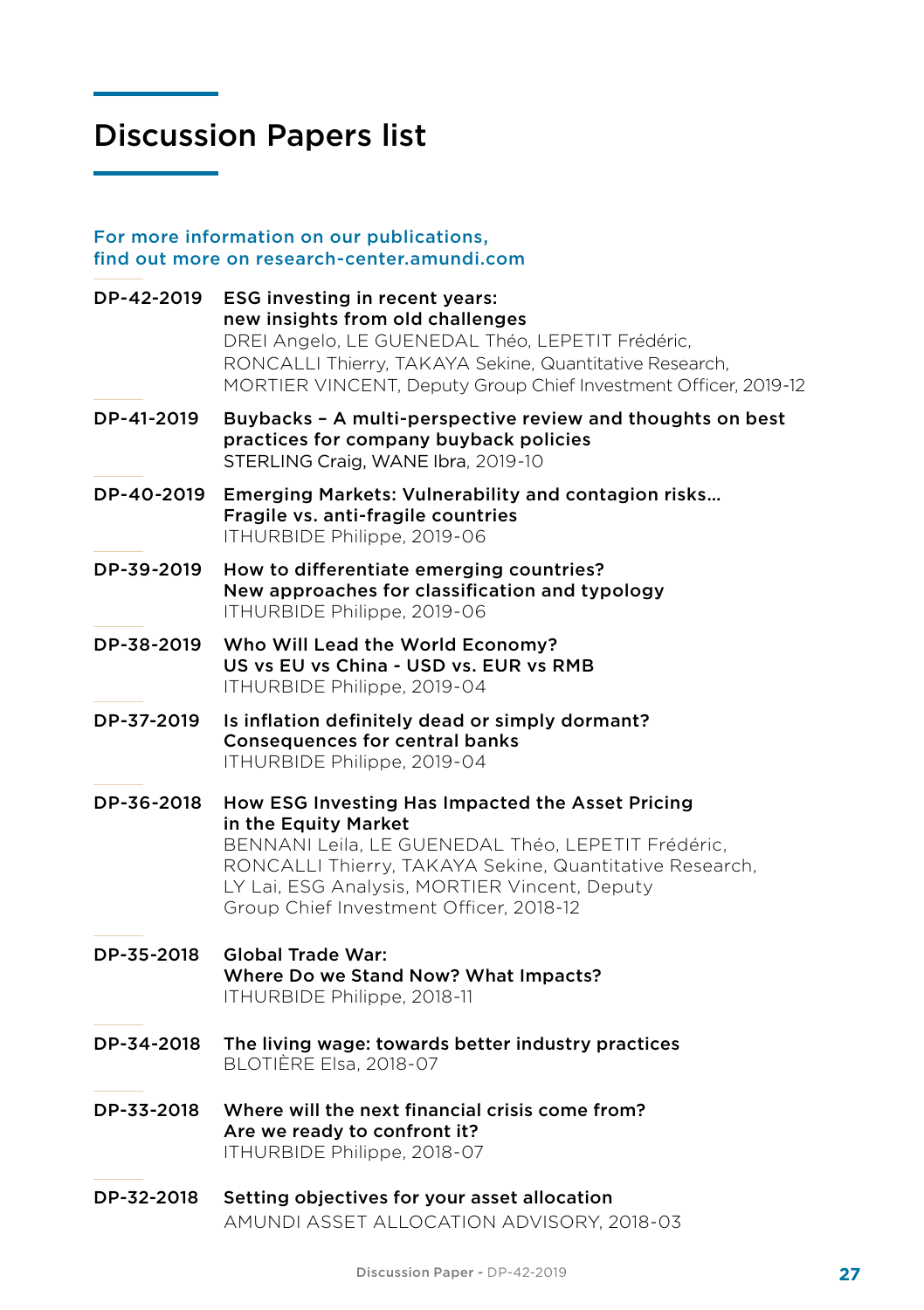### Discussion Papers list

For more information on our publications, find out more on research-center.amundi.com

DP-42-2019 ESG investing in recent years: new insights from old challenges DREI Angelo, LE GUENEDAL Théo, LEPETIT Frédéric, RONCALLI Thierry, TAKAYA Sekine, Quantitative Research, MORTIER VINCENT, Deputy Group Chief Investment Officer, 2019-12 DP-41-2019 Buybacks – A multi-perspective review and thoughts on best practices for company buyback policies STERLING Craig, WANE Ibra, 2019-10 DP-40-2019 Emerging Markets: Vulnerability and contagion risks… Fragile vs. anti-fragile countries ITHURBIDE Philippe, 2019-06 DP-39-2019 How to differentiate emerging countries? New approaches for classification and typology ITHURBIDE Philippe, 2019-06 DP-38-2019 Who Will Lead the World Economy? US vs EU vs China - USD vs. EUR vs RMB ITHURBIDE Philippe, 2019-04 DP-37-2019 Is inflation definitely dead or simply dormant? Consequences for central banks ITHURBIDE Philippe, 2019-04 DP-36-2018 How ESG Investing Has Impacted the Asset Pricing in the Equity Market BENNANI Leila, LE GUENEDAL Théo, LEPETIT Frédéric, RONCALLI Thierry, TAKAYA Sekine, Quantitative Research, LY Lai, ESG Analysis, MORTIER Vincent, Deputy Group Chief Investment Officer, 2018-12 DP-35-2018 Global Trade War: Where Do we Stand Now? What Impacts? ITHURBIDE Philippe, 2018-11 DP-34-2018 The living wage: towards better industry practices BLOTIÈRE Elsa, 2018-07 DP-33-2018 Where will the next financial crisis come from? Are we ready to confront it? ITHURBIDE Philippe, 2018-07 DP-32-2018 Setting objectives for your asset allocation AMUNDI ASSET ALLOCATION ADVISORY, 2018-03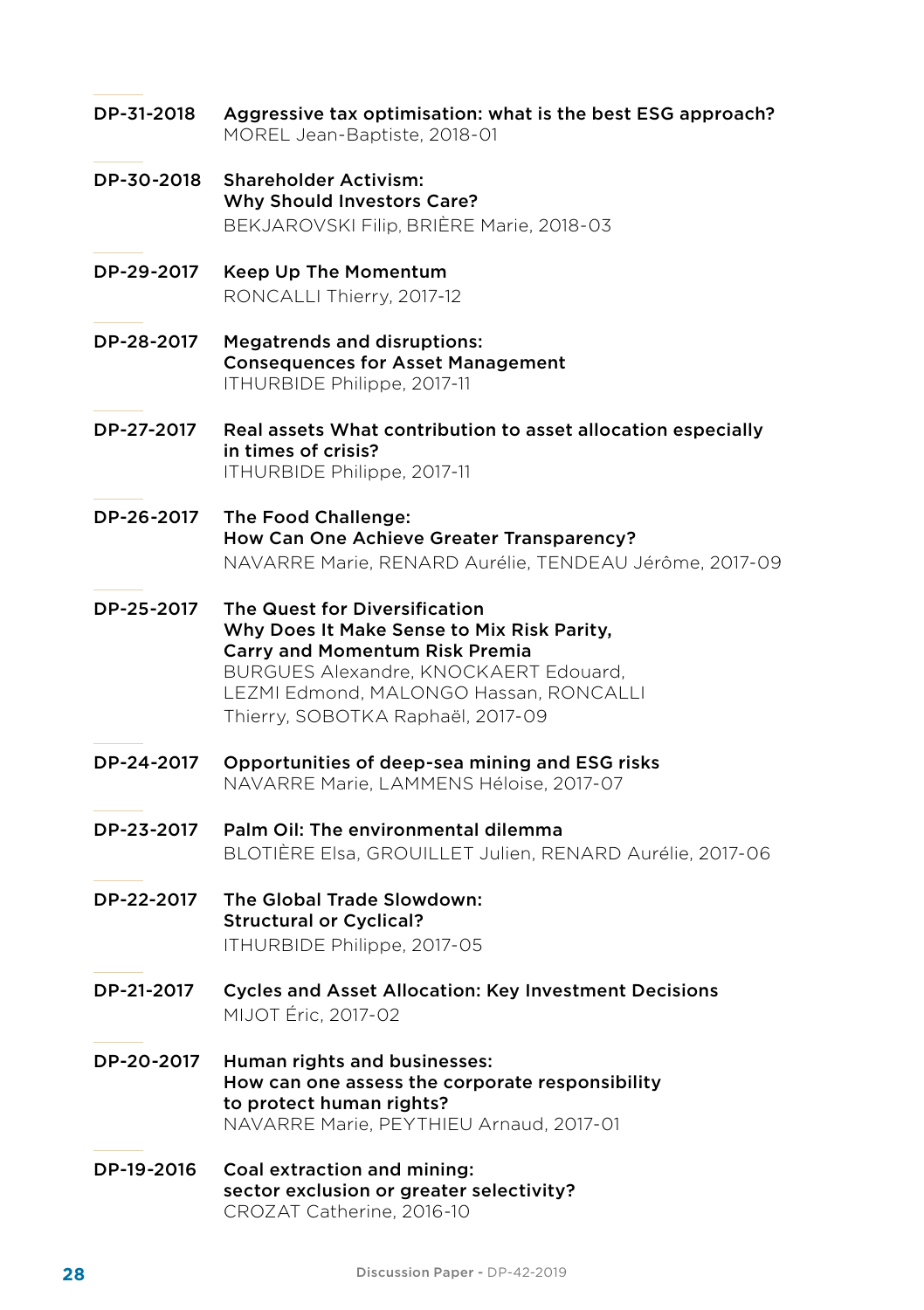- DP-31-2018 Aggressive tax optimisation: what is the best ESG approach? MOREL Jean-Baptiste, 2018-01
- DP-30-2018 Shareholder Activism: Why Should Investors Care? BEKJAROVSKI Filip, BRIÈRE Marie, 2018-03
- DP-29-2017 Keep Up The Momentum RONCALLI Thierry, 2017-12
- DP-28-2017 Megatrends and disruptions: Consequences for Asset Management ITHURBIDE Philippe, 2017-11
- DP-27-2017 Real assets What contribution to asset allocation especially in times of crisis? ITHURBIDE Philippe, 2017-11
- DP-26-2017 The Food Challenge: How Can One Achieve Greater Transparency? NAVARRE Marie, RENARD Aurélie, TENDEAU Jérôme, 2017-09
- DP-25-2017 The Quest for Diversification Why Does It Make Sense to Mix Risk Parity, Carry and Momentum Risk Premia BURGUES Alexandre, KNOCKAERT Edouard, LEZMI Edmond, MALONGO Hassan, RONCALLI Thierry, SOBOTKA Raphaël, 2017-09
- DP-24-2017 Opportunities of deep-sea mining and ESG risks NAVARRE Marie, LAMMENS Héloise, 2017-07
- DP-23-2017 Palm Oil: The environmental dilemma BLOTIÈRE Elsa, GROUILLET Julien, RENARD Aurélie, 2017-06
- DP-22-2017 The Global Trade Slowdown: Structural or Cyclical? ITHURBIDE Philippe, 2017-05
- DP-21-2017 Cycles and Asset Allocation: Key Investment Decisions MIJOT Éric, 2017-02
- DP-20-2017 Human rights and businesses: How can one assess the corporate responsibility to protect human rights? NAVARRE Marie, PEYTHIEU Arnaud, 2017-01
- DP-19-2016 Coal extraction and mining: sector exclusion or greater selectivity? CROZAT Catherine, 2016-10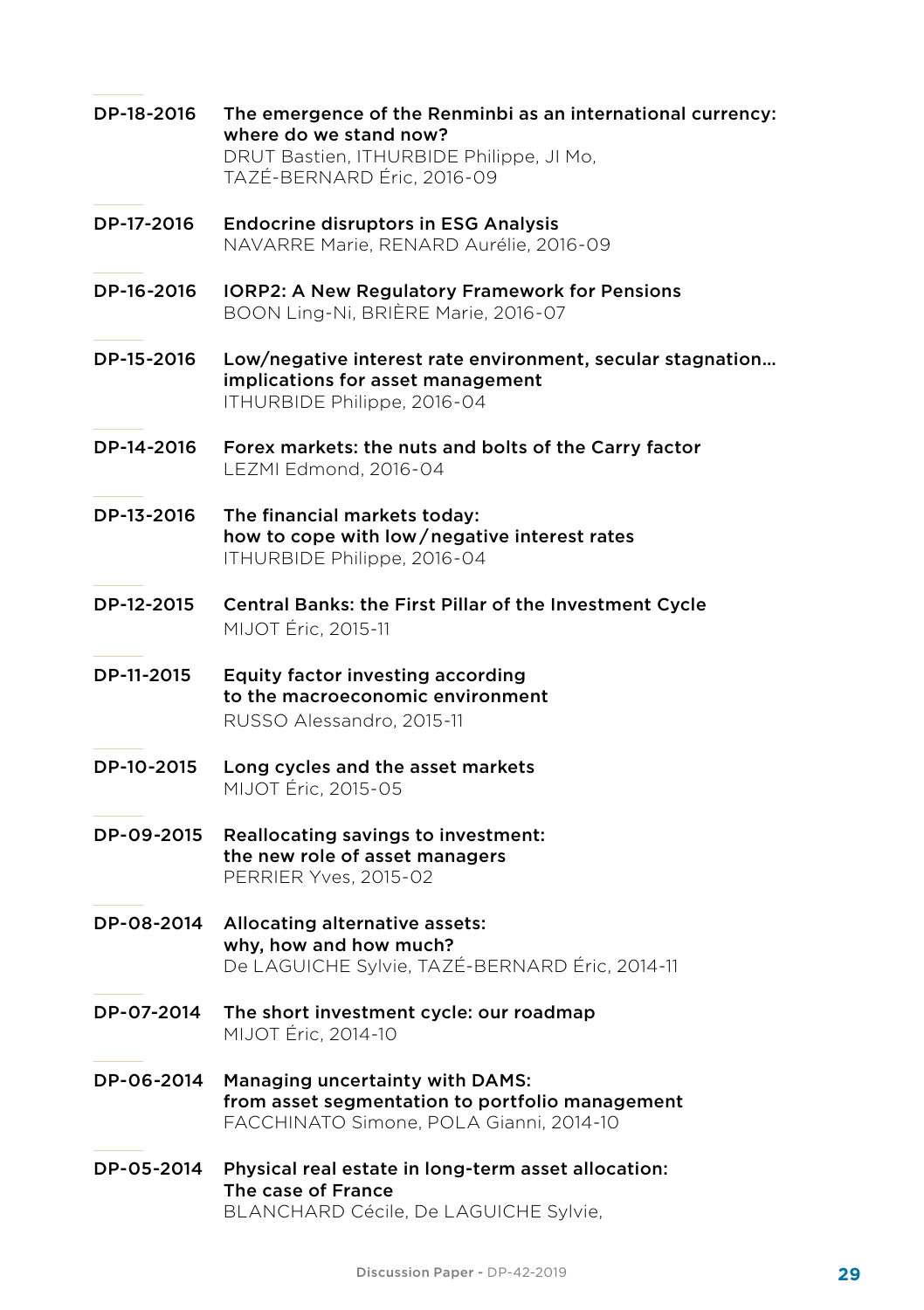- DP-18-2016 The emergence of the Renminbi as an international currency: where do we stand now? DRUT Bastien, ITHURBIDE Philippe, JI Mo, TAZÉ-BERNARD Éric, 2016-09 DP-17-2016 Endocrine disruptors in ESG Analysis NAVARRE Marie, RENARD Aurélie, 2016-09
- DP-16-2016 IORP2: A New Regulatory Framework for Pensions BOON Ling-Ni, BRIÈRE Marie, 2016-07
- DP-15-2016 Low/negative interest rate environment, secular stagnation… implications for asset management ITHURBIDE Philippe, 2016-04
- DP-14-2016 Forex markets: the nuts and bolts of the Carry factor LEZMI Edmond, 2016-04
- DP-13-2016 The financial markets today: how to cope with low / negative interest rates ITHURBIDE Philippe, 2016-04
- DP-12-2015 Central Banks: the First Pillar of the Investment Cycle MIJOT Éric, 2015-11
- DP-11-2015 Equity factor investing according to the macroeconomic environment RUSSO Alessandro, 2015-11
- DP-10-2015 Long cycles and the asset markets MIJOT Éric, 2015-05
- DP-09-2015 Reallocating savings to investment: the new role of asset managers PERRIER Yves, 2015-02
- DP-08-2014 Allocating alternative assets: why, how and how much? De LAGUICHE Sylvie, TAZÉ-BERNARD Éric, 2014-11
- DP-07-2014 The short investment cycle: our roadmap MIJOT Éric, 2014-10
- DP-06-2014 Managing uncertainty with DAMS: from asset segmentation to portfolio management FACCHINATO Simone, POLA Gianni, 2014-10
- DP-05-2014 Physical real estate in long-term asset allocation: The case of France BLANCHARD Cécile, De LAGUICHE Sylvie,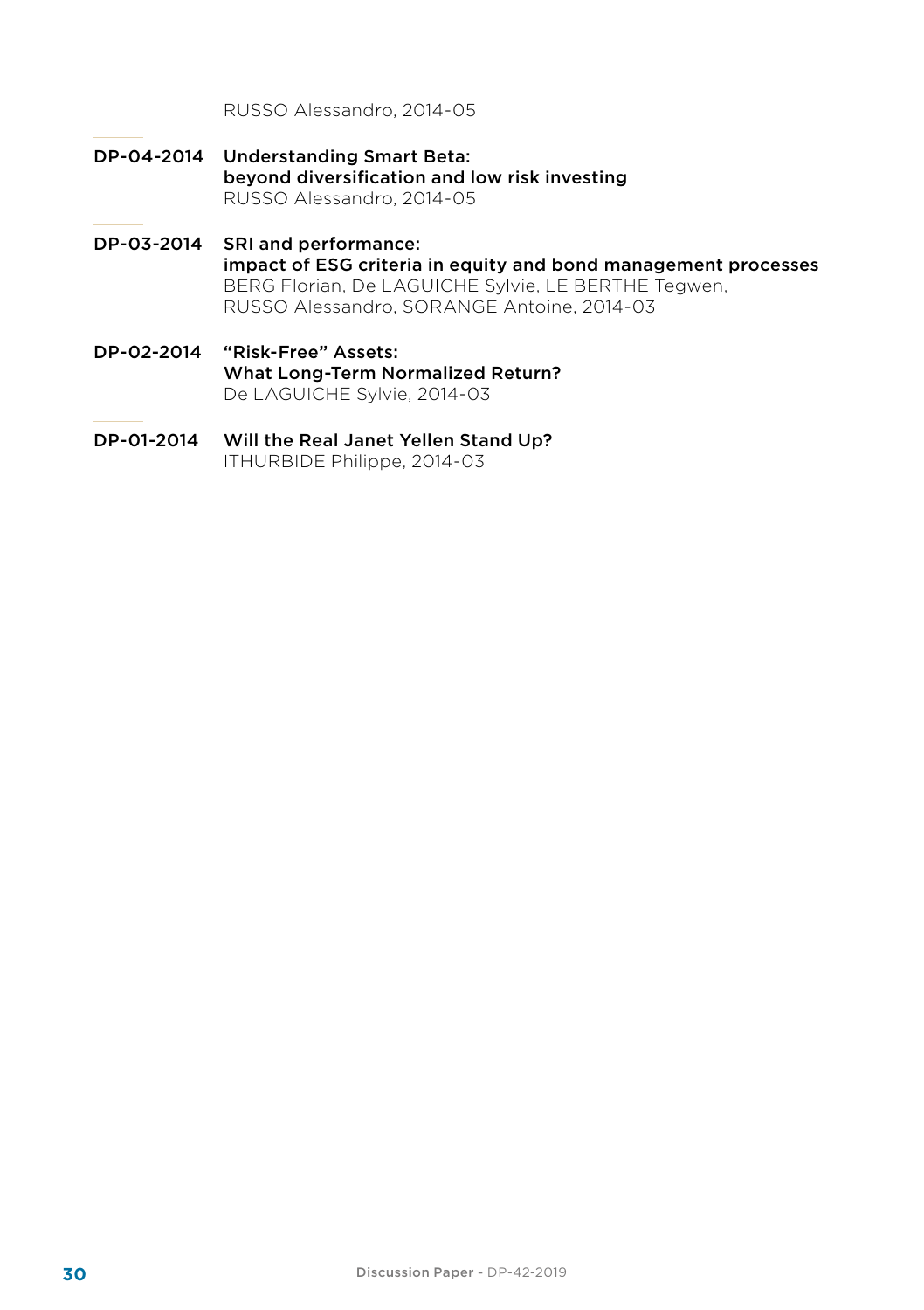RUSSO Alessandro, 2014-05

- DP-04-2014 Understanding Smart Beta: beyond diversification and low risk investing RUSSO Alessandro, 2014-05
- DP-03-2014 SRI and performance: impact of ESG criteria in equity and bond management processes BERG Florian, De LAGUICHE Sylvie, LE BERTHE Tegwen, RUSSO Alessandro, SORANGE Antoine, 2014-03
- DP-02-2014 "Risk-Free" Assets: What Long-Term Normalized Return? De LAGUICHE Sylvie, 2014-03
- DP-01-2014 Will the Real Janet Yellen Stand Up? ITHURBIDE Philippe, 2014-03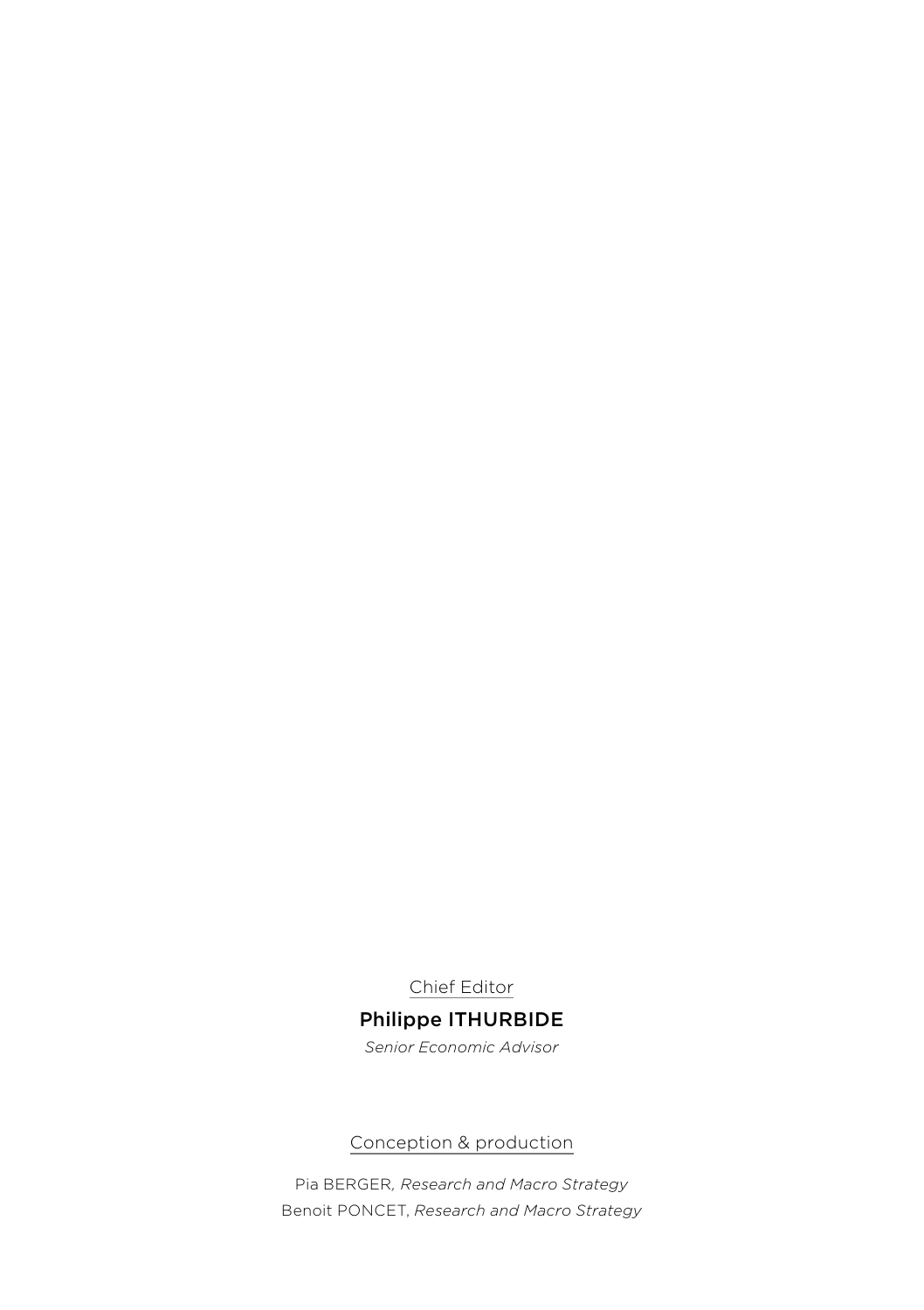Chief Editor

#### Philippe ITHURBIDE *Senior Economic Advisor*

Conception & production

Pia BERGER*, Research and Macro Strategy* Benoit PONCET, *Research and Macro Strategy*